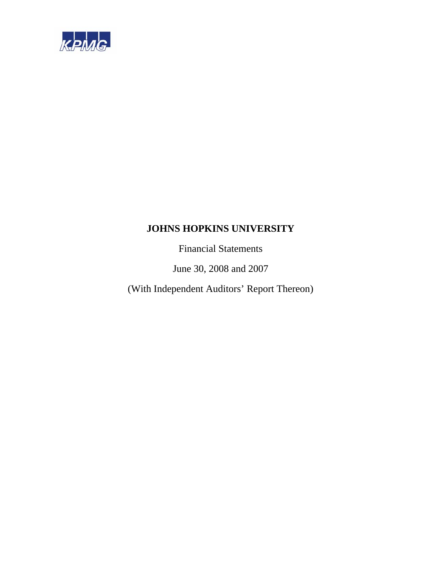

Financial Statements

June 30, 2008 and 2007

(With Independent Auditors' Report Thereon)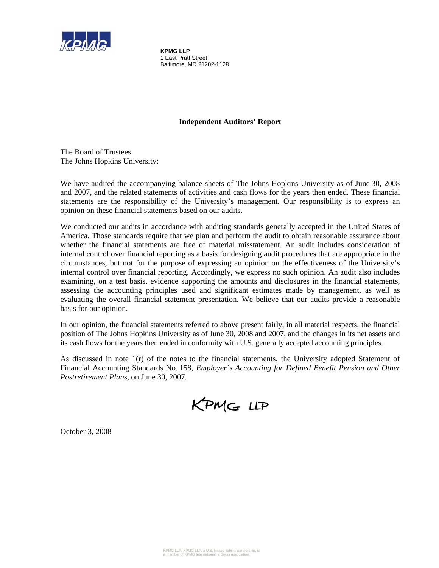

**KPMG LLP**  1 East Pratt Street Baltimore, MD 21202-1128

# **Independent Auditors' Report**

The Board of Trustees The Johns Hopkins University:

We have audited the accompanying balance sheets of The Johns Hopkins University as of June 30, 2008 and 2007, and the related statements of activities and cash flows for the years then ended. These financial statements are the responsibility of the University's management. Our responsibility is to express an opinion on these financial statements based on our audits.

We conducted our audits in accordance with auditing standards generally accepted in the United States of America. Those standards require that we plan and perform the audit to obtain reasonable assurance about whether the financial statements are free of material misstatement. An audit includes consideration of internal control over financial reporting as a basis for designing audit procedures that are appropriate in the circumstances, but not for the purpose of expressing an opinion on the effectiveness of the University's internal control over financial reporting. Accordingly, we express no such opinion. An audit also includes examining, on a test basis, evidence supporting the amounts and disclosures in the financial statements, assessing the accounting principles used and significant estimates made by management, as well as evaluating the overall financial statement presentation. We believe that our audits provide a reasonable basis for our opinion.

In our opinion, the financial statements referred to above present fairly, in all material respects, the financial position of The Johns Hopkins University as of June 30, 2008 and 2007, and the changes in its net assets and its cash flows for the years then ended in conformity with U.S. generally accepted accounting principles.

As discussed in note  $1(r)$  of the notes to the financial statements, the University adopted Statement of Financial Accounting Standards No. 158, *Employer's Accounting for Defined Benefit Pension and Other Postretirement Plans,* on June 30, 2007*.* 

KPMG LLP

October 3, 2008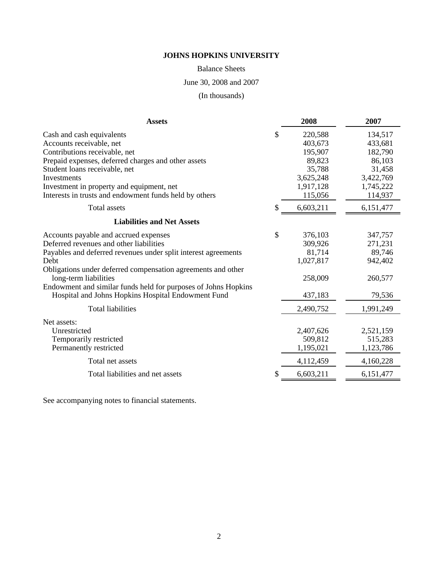Balance Sheets

June 30, 2008 and 2007

(In thousands)

| \$<br>220,588<br>134,517<br>403,673<br>433,681<br>195,907<br>182,790<br>89,823<br>86,103<br>35,788<br>31,458<br>3,625,248<br>3,422,769<br>1,917,128<br>1,745,222<br>115,056<br>114,937<br><b>Total assets</b><br>\$.<br>6,603,211<br>6,151,477<br><b>Liabilities and Net Assets</b><br>\$<br>376,103<br>347,757<br>309,926<br>271,231<br>81,714<br>89,746<br>1,027,817<br>942,402<br>258,009<br>long-term liabilities<br>260,577<br>Endowment and similar funds held for purposes of Johns Hopkins<br>Hospital and Johns Hopkins Hospital Endowment Fund<br>437,183<br>79,536<br><b>Total liabilities</b><br>2,490,752<br>1,991,249<br>Net assets:<br>Unrestricted<br>2,407,626<br>2,521,159<br>515,283<br>Temporarily restricted<br>509,812<br>Permanently restricted<br>1,195,021<br>1,123,786<br>Total net assets<br>4,112,459<br>4,160,228<br>6,603,211<br>Total liabilities and net assets<br>S<br>6,151,477 | <b>Assets</b>                                                  | 2008 | 2007 |
|-------------------------------------------------------------------------------------------------------------------------------------------------------------------------------------------------------------------------------------------------------------------------------------------------------------------------------------------------------------------------------------------------------------------------------------------------------------------------------------------------------------------------------------------------------------------------------------------------------------------------------------------------------------------------------------------------------------------------------------------------------------------------------------------------------------------------------------------------------------------------------------------------------------------|----------------------------------------------------------------|------|------|
|                                                                                                                                                                                                                                                                                                                                                                                                                                                                                                                                                                                                                                                                                                                                                                                                                                                                                                                   | Cash and cash equivalents                                      |      |      |
|                                                                                                                                                                                                                                                                                                                                                                                                                                                                                                                                                                                                                                                                                                                                                                                                                                                                                                                   | Accounts receivable, net                                       |      |      |
|                                                                                                                                                                                                                                                                                                                                                                                                                                                                                                                                                                                                                                                                                                                                                                                                                                                                                                                   | Contributions receivable, net                                  |      |      |
|                                                                                                                                                                                                                                                                                                                                                                                                                                                                                                                                                                                                                                                                                                                                                                                                                                                                                                                   | Prepaid expenses, deferred charges and other assets            |      |      |
|                                                                                                                                                                                                                                                                                                                                                                                                                                                                                                                                                                                                                                                                                                                                                                                                                                                                                                                   | Student loans receivable, net                                  |      |      |
|                                                                                                                                                                                                                                                                                                                                                                                                                                                                                                                                                                                                                                                                                                                                                                                                                                                                                                                   | Investments                                                    |      |      |
|                                                                                                                                                                                                                                                                                                                                                                                                                                                                                                                                                                                                                                                                                                                                                                                                                                                                                                                   | Investment in property and equipment, net                      |      |      |
|                                                                                                                                                                                                                                                                                                                                                                                                                                                                                                                                                                                                                                                                                                                                                                                                                                                                                                                   | Interests in trusts and endowment funds held by others         |      |      |
|                                                                                                                                                                                                                                                                                                                                                                                                                                                                                                                                                                                                                                                                                                                                                                                                                                                                                                                   |                                                                |      |      |
|                                                                                                                                                                                                                                                                                                                                                                                                                                                                                                                                                                                                                                                                                                                                                                                                                                                                                                                   |                                                                |      |      |
|                                                                                                                                                                                                                                                                                                                                                                                                                                                                                                                                                                                                                                                                                                                                                                                                                                                                                                                   | Accounts payable and accrued expenses                          |      |      |
|                                                                                                                                                                                                                                                                                                                                                                                                                                                                                                                                                                                                                                                                                                                                                                                                                                                                                                                   | Deferred revenues and other liabilities                        |      |      |
|                                                                                                                                                                                                                                                                                                                                                                                                                                                                                                                                                                                                                                                                                                                                                                                                                                                                                                                   | Payables and deferred revenues under split interest agreements |      |      |
|                                                                                                                                                                                                                                                                                                                                                                                                                                                                                                                                                                                                                                                                                                                                                                                                                                                                                                                   | Debt                                                           |      |      |
|                                                                                                                                                                                                                                                                                                                                                                                                                                                                                                                                                                                                                                                                                                                                                                                                                                                                                                                   | Obligations under deferred compensation agreements and other   |      |      |
|                                                                                                                                                                                                                                                                                                                                                                                                                                                                                                                                                                                                                                                                                                                                                                                                                                                                                                                   |                                                                |      |      |
|                                                                                                                                                                                                                                                                                                                                                                                                                                                                                                                                                                                                                                                                                                                                                                                                                                                                                                                   |                                                                |      |      |
|                                                                                                                                                                                                                                                                                                                                                                                                                                                                                                                                                                                                                                                                                                                                                                                                                                                                                                                   |                                                                |      |      |
|                                                                                                                                                                                                                                                                                                                                                                                                                                                                                                                                                                                                                                                                                                                                                                                                                                                                                                                   |                                                                |      |      |
|                                                                                                                                                                                                                                                                                                                                                                                                                                                                                                                                                                                                                                                                                                                                                                                                                                                                                                                   |                                                                |      |      |
|                                                                                                                                                                                                                                                                                                                                                                                                                                                                                                                                                                                                                                                                                                                                                                                                                                                                                                                   |                                                                |      |      |
|                                                                                                                                                                                                                                                                                                                                                                                                                                                                                                                                                                                                                                                                                                                                                                                                                                                                                                                   |                                                                |      |      |
|                                                                                                                                                                                                                                                                                                                                                                                                                                                                                                                                                                                                                                                                                                                                                                                                                                                                                                                   |                                                                |      |      |
|                                                                                                                                                                                                                                                                                                                                                                                                                                                                                                                                                                                                                                                                                                                                                                                                                                                                                                                   |                                                                |      |      |
|                                                                                                                                                                                                                                                                                                                                                                                                                                                                                                                                                                                                                                                                                                                                                                                                                                                                                                                   |                                                                |      |      |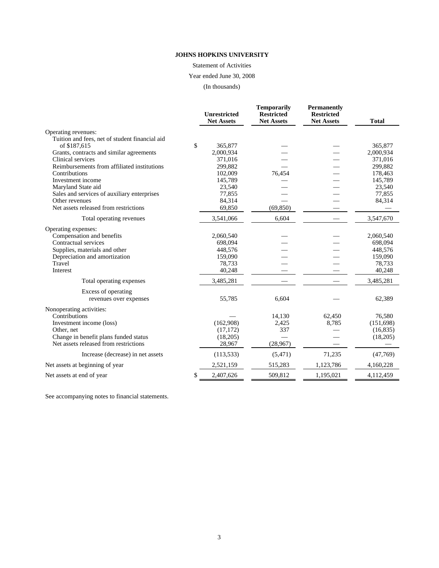Statement of Activities

Year ended June 30, 2008

(In thousands)

|                                                         | <b>Unrestricted</b><br><b>Net Assets</b> | <b>Temporarily</b><br><b>Restricted</b><br><b>Net Assets</b> | <b>Permanently</b><br><b>Restricted</b><br><b>Net Assets</b> | <b>Total</b> |
|---------------------------------------------------------|------------------------------------------|--------------------------------------------------------------|--------------------------------------------------------------|--------------|
|                                                         |                                          |                                                              |                                                              |              |
| Operating revenues:                                     |                                          |                                                              |                                                              |              |
| Tuition and fees, net of student financial aid          |                                          |                                                              |                                                              |              |
| of \$187,615                                            | \$<br>365,877                            |                                                              |                                                              | 365,877      |
| Grants, contracts and similar agreements                | 2,000,934                                |                                                              |                                                              | 2,000,934    |
| Clinical services                                       | 371,016                                  |                                                              |                                                              | 371,016      |
| Reimbursements from affiliated institutions             | 299,882                                  |                                                              |                                                              | 299,882      |
| Contributions                                           | 102,009                                  | 76,454                                                       |                                                              | 178,463      |
| Investment income                                       | 145,789                                  |                                                              |                                                              | 145,789      |
| Maryland State aid                                      | 23,540                                   |                                                              |                                                              | 23,540       |
| Sales and services of auxiliary enterprises             | 77,855                                   |                                                              |                                                              | 77,855       |
| Other revenues<br>Net assets released from restrictions | 84,314<br>69,850                         |                                                              |                                                              | 84,314       |
|                                                         |                                          | (69, 850)                                                    |                                                              |              |
| Total operating revenues                                | 3,541,066                                | 6.604                                                        |                                                              | 3,547,670    |
| Operating expenses:                                     |                                          |                                                              |                                                              |              |
| Compensation and benefits                               | 2,060,540                                |                                                              |                                                              | 2,060,540    |
| Contractual services                                    | 698.094                                  |                                                              |                                                              | 698,094      |
| Supplies, materials and other                           | 448,576                                  |                                                              |                                                              | 448,576      |
| Depreciation and amortization                           | 159,090                                  |                                                              |                                                              | 159,090      |
| Travel                                                  | 78,733                                   |                                                              |                                                              | 78,733       |
| Interest                                                | 40,248                                   |                                                              |                                                              | 40,248       |
| Total operating expenses                                | 3,485,281                                |                                                              |                                                              | 3,485,281    |
| Excess of operating                                     |                                          |                                                              |                                                              |              |
| revenues over expenses                                  | 55,785                                   | 6,604                                                        |                                                              | 62,389       |
| Nonoperating activities:                                |                                          |                                                              |                                                              |              |
| Contributions                                           |                                          | 14,130                                                       | 62,450                                                       | 76,580       |
| Investment income (loss)                                | (162,908)                                | 2,425                                                        | 8,785                                                        | (151,698)    |
| Other, net                                              | (17, 172)                                | 337                                                          |                                                              | (16, 835)    |
| Change in benefit plans funded status                   | (18,205)                                 |                                                              |                                                              | (18,205)     |
| Net assets released from restrictions                   | 28,967                                   | (28,967)                                                     |                                                              |              |
| Increase (decrease) in net assets                       | (113, 533)                               | (5,471)                                                      | 71,235                                                       | (47,769)     |
| Net assets at beginning of year                         | 2,521,159                                | 515,283                                                      | 1,123,786                                                    | 4,160,228    |
| Net assets at end of year                               | \$<br>2,407,626                          | 509,812                                                      | 1,195,021                                                    | 4,112,459    |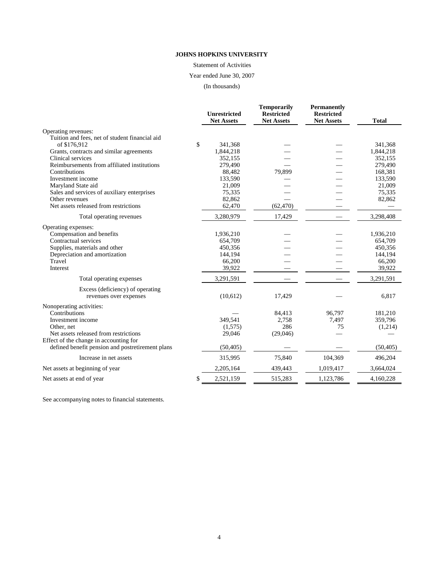Statement of Activities

Year ended June 30, 2007

(In thousands)

|                                                  | <b>Unrestricted</b><br><b>Net Assets</b> | <b>Temporarily</b><br><b>Restricted</b><br><b>Net Assets</b> | <b>Permanently</b><br><b>Restricted</b><br><b>Net Assets</b> | <b>Total</b> |
|--------------------------------------------------|------------------------------------------|--------------------------------------------------------------|--------------------------------------------------------------|--------------|
| Operating revenues:                              |                                          |                                                              |                                                              |              |
| Tuition and fees, net of student financial aid   |                                          |                                                              |                                                              |              |
| of \$176,912                                     | \$<br>341,368                            |                                                              |                                                              | 341,368      |
| Grants, contracts and similar agreements         | 1,844,218                                |                                                              |                                                              | 1,844,218    |
| Clinical services                                | 352,155                                  |                                                              |                                                              | 352,155      |
| Reimbursements from affiliated institutions      | 279,490                                  |                                                              |                                                              | 279,490      |
| Contributions                                    | 88,482                                   | 79,899                                                       |                                                              | 168,381      |
| Investment income                                | 133,590                                  |                                                              |                                                              | 133,590      |
| Maryland State aid                               | 21,009                                   |                                                              |                                                              | 21,009       |
| Sales and services of auxiliary enterprises      | 75,335                                   |                                                              |                                                              | 75,335       |
| Other revenues                                   | 82,862                                   |                                                              |                                                              | 82,862       |
| Net assets released from restrictions            | 62,470                                   | (62, 470)                                                    |                                                              |              |
| Total operating revenues                         | 3,280,979                                | 17,429                                                       |                                                              | 3,298,408    |
| Operating expenses:                              |                                          |                                                              |                                                              |              |
| Compensation and benefits                        | 1,936,210                                |                                                              |                                                              | 1,936,210    |
| Contractual services                             | 654,709                                  |                                                              |                                                              | 654,709      |
| Supplies, materials and other                    | 450,356                                  |                                                              |                                                              | 450,356      |
| Depreciation and amortization                    | 144,194                                  |                                                              |                                                              | 144,194      |
| Travel                                           | 66,200                                   |                                                              |                                                              | 66,200       |
| Interest                                         | 39,922                                   |                                                              |                                                              | 39,922       |
| Total operating expenses                         | 3,291,591                                |                                                              |                                                              | 3,291,591    |
| Excess (deficiency) of operating                 |                                          |                                                              |                                                              |              |
| revenues over expenses                           | (10,612)                                 | 17,429                                                       |                                                              | 6,817        |
| Nonoperating activities:                         |                                          |                                                              |                                                              |              |
| Contributions                                    |                                          | 84,413                                                       | 96,797                                                       | 181,210      |
| Investment income                                | 349,541                                  | 2,758                                                        | 7,497                                                        | 359,796      |
| Other, net                                       | (1,575)                                  | 286                                                          | 75                                                           | (1,214)      |
| Net assets released from restrictions            | 29,046                                   | (29,046)                                                     |                                                              |              |
| Effect of the change in accounting for           |                                          |                                                              |                                                              |              |
| defined benefit pension and postretirement plans | (50, 405)                                |                                                              |                                                              | (50, 405)    |
| Increase in net assets                           | 315,995                                  | 75,840                                                       | 104,369                                                      | 496,204      |
| Net assets at beginning of year                  | 2,205,164                                | 439,443                                                      | 1,019,417                                                    | 3,664,024    |
| Net assets at end of year.                       | \$<br>2,521,159                          | 515,283                                                      | 1,123,786                                                    | 4,160,228    |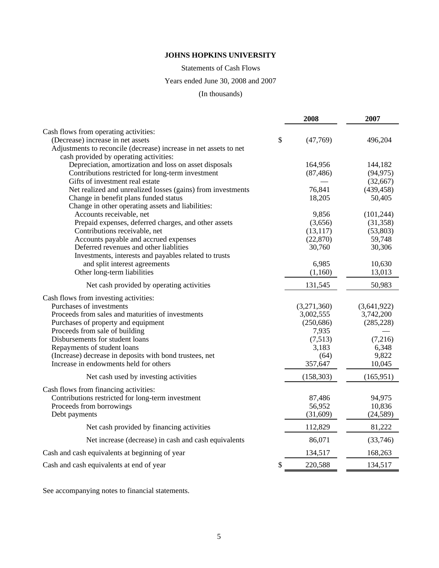Statements of Cash Flows

# Years ended June 30, 2008 and 2007

(In thousands)

|                                                                   | 2008           | 2007        |
|-------------------------------------------------------------------|----------------|-------------|
| Cash flows from operating activities:                             |                |             |
| (Decrease) increase in net assets                                 | \$<br>(47,769) | 496,204     |
| Adjustments to reconcile (decrease) increase in net assets to net |                |             |
| cash provided by operating activities:                            |                |             |
| Depreciation, amortization and loss on asset disposals            | 164,956        | 144,182     |
| Contributions restricted for long-term investment                 | (87, 486)      | (94, 975)   |
| Gifts of investment real estate                                   |                | (32,667)    |
| Net realized and unrealized losses (gains) from investments       | 76,841         | (439, 458)  |
| Change in benefit plans funded status                             | 18,205         | 50,405      |
| Change in other operating assets and liabilities:                 |                |             |
| Accounts receivable, net                                          | 9,856          | (101, 244)  |
| Prepaid expenses, deferred charges, and other assets              | (3,656)        | (31, 358)   |
| Contributions receivable, net                                     | (13, 117)      | (53,803)    |
| Accounts payable and accrued expenses                             | (22, 870)      | 59,748      |
| Deferred revenues and other liablities                            | 30,760         | 30,306      |
| Investments, interests and payables related to trusts             |                |             |
| and split interest agreements                                     | 6,985          | 10,630      |
| Other long-term liabilities                                       | (1,160)        | 13,013      |
| Net cash provided by operating activities                         | 131,545        | 50,983      |
| Cash flows from investing activities:                             |                |             |
| Purchases of investments                                          | (3,271,360)    | (3,641,922) |
| Proceeds from sales and maturities of investments                 | 3,002,555      | 3,742,200   |
| Purchases of property and equipment                               | (250, 686)     | (285, 228)  |
| Proceeds from sale of building                                    | 7,935          |             |
| Disbursements for student loans                                   | (7,513)        | (7,216)     |
| Repayments of student loans                                       | 3,183          | 6,348       |
| (Increase) decrease in deposits with bond trustees, net           | (64)           | 9,822       |
| Increase in endowments held for others                            | 357,647        | 10,045      |
| Net cash used by investing activities                             | (158, 303)     | (165, 951)  |
| Cash flows from financing activities:                             |                |             |
| Contributions restricted for long-term investment                 | 87,486         | 94,975      |
| Proceeds from borrowings                                          | 56,952         | 10,836      |
| Debt payments                                                     | (31,609)       | (24, 589)   |
| Net cash provided by financing activities                         | 112,829        | 81,222      |
| Net increase (decrease) in cash and cash equivalents              | 86,071         | (33,746)    |
| Cash and cash equivalents at beginning of year                    | 134,517        | 168,263     |
| Cash and cash equivalents at end of year                          | \$<br>220,588  | 134,517     |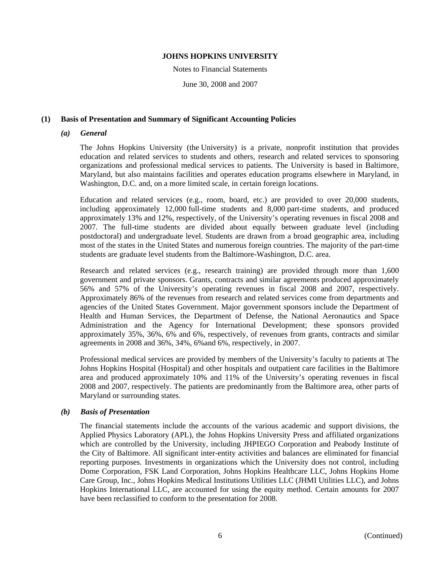#### Notes to Financial Statements

June 30, 2008 and 2007

# **(1) Basis of Presentation and Summary of Significant Accounting Policies**

# *(a) General*

The Johns Hopkins University (the University) is a private, nonprofit institution that provides education and related services to students and others, research and related services to sponsoring organizations and professional medical services to patients. The University is based in Baltimore, Maryland, but also maintains facilities and operates education programs elsewhere in Maryland, in Washington, D.C. and, on a more limited scale, in certain foreign locations.

Education and related services (e.g., room, board, etc.) are provided to over 20,000 students, including approximately 12,000 full-time students and 8,000 part-time students, and produced approximately 13% and 12%, respectively, of the University's operating revenues in fiscal 2008 and 2007. The full-time students are divided about equally between graduate level (including postdoctoral) and undergraduate level. Students are drawn from a broad geographic area, including most of the states in the United States and numerous foreign countries. The majority of the part-time students are graduate level students from the Baltimore-Washington, D.C. area.

Research and related services (e.g., research training) are provided through more than 1,600 government and private sponsors. Grants, contracts and similar agreements produced approximately 56% and 57% of the University's operating revenues in fiscal 2008 and 2007, respectively. Approximately 86% of the revenues from research and related services come from departments and agencies of the United States Government. Major government sponsors include the Department of Health and Human Services, the Department of Defense, the National Aeronautics and Space Administration and the Agency for International Development; these sponsors provided approximately 35%, 36%, 6% and 6%, respectively, of revenues from grants, contracts and similar agreements in 2008 and 36%, 34%, 6%and 6%, respectively, in 2007.

Professional medical services are provided by members of the University's faculty to patients at The Johns Hopkins Hospital (Hospital) and other hospitals and outpatient care facilities in the Baltimore area and produced approximately 10% and 11% of the University's operating revenues in fiscal 2008 and 2007, respectively. The patients are predominantly from the Baltimore area, other parts of Maryland or surrounding states.

# *(b) Basis of Presentation*

The financial statements include the accounts of the various academic and support divisions, the Applied Physics Laboratory (APL), the Johns Hopkins University Press and affiliated organizations which are controlled by the University, including JHPIEGO Corporation and Peabody Institute of the City of Baltimore. All significant inter-entity activities and balances are eliminated for financial reporting purposes. Investments in organizations which the University does not control, including Dome Corporation, FSK Land Corporation, Johns Hopkins Healthcare LLC, Johns Hopkins Home Care Group, Inc., Johns Hopkins Medical Institutions Utilities LLC (JHMI Utilities LLC), and Johns Hopkins International LLC, are accounted for using the equity method. Certain amounts for 2007 have been reclassified to conform to the presentation for 2008.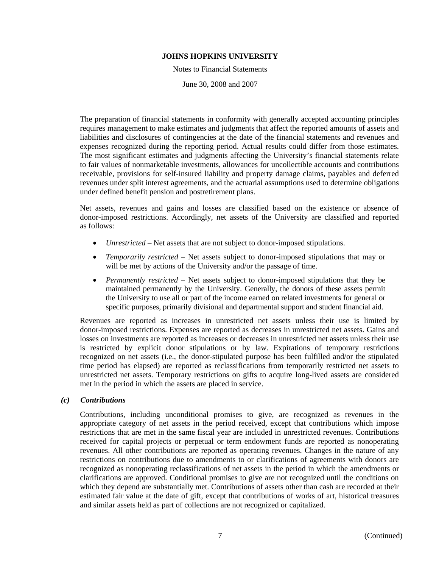Notes to Financial Statements

June 30, 2008 and 2007

The preparation of financial statements in conformity with generally accepted accounting principles requires management to make estimates and judgments that affect the reported amounts of assets and liabilities and disclosures of contingencies at the date of the financial statements and revenues and expenses recognized during the reporting period. Actual results could differ from those estimates. The most significant estimates and judgments affecting the University's financial statements relate to fair values of nonmarketable investments, allowances for uncollectible accounts and contributions receivable, provisions for self-insured liability and property damage claims, payables and deferred revenues under split interest agreements, and the actuarial assumptions used to determine obligations under defined benefit pension and postretirement plans.

Net assets, revenues and gains and losses are classified based on the existence or absence of donor-imposed restrictions. Accordingly, net assets of the University are classified and reported as follows:

- *Unrestricted* Net assets that are not subject to donor-imposed stipulations.
- *Temporarily restricted* Net assets subject to donor-imposed stipulations that may or will be met by actions of the University and/or the passage of time.
- *Permanently restricted* Net assets subject to donor-imposed stipulations that they be maintained permanently by the University. Generally, the donors of these assets permit the University to use all or part of the income earned on related investments for general or specific purposes, primarily divisional and departmental support and student financial aid.

Revenues are reported as increases in unrestricted net assets unless their use is limited by donor-imposed restrictions. Expenses are reported as decreases in unrestricted net assets. Gains and losses on investments are reported as increases or decreases in unrestricted net assets unless their use is restricted by explicit donor stipulations or by law. Expirations of temporary restrictions recognized on net assets (i.e., the donor-stipulated purpose has been fulfilled and/or the stipulated time period has elapsed) are reported as reclassifications from temporarily restricted net assets to unrestricted net assets. Temporary restrictions on gifts to acquire long-lived assets are considered met in the period in which the assets are placed in service.

# *(c) Contributions*

Contributions, including unconditional promises to give, are recognized as revenues in the appropriate category of net assets in the period received, except that contributions which impose restrictions that are met in the same fiscal year are included in unrestricted revenues. Contributions received for capital projects or perpetual or term endowment funds are reported as nonoperating revenues. All other contributions are reported as operating revenues. Changes in the nature of any restrictions on contributions due to amendments to or clarifications of agreements with donors are recognized as nonoperating reclassifications of net assets in the period in which the amendments or clarifications are approved. Conditional promises to give are not recognized until the conditions on which they depend are substantially met. Contributions of assets other than cash are recorded at their estimated fair value at the date of gift, except that contributions of works of art, historical treasures and similar assets held as part of collections are not recognized or capitalized.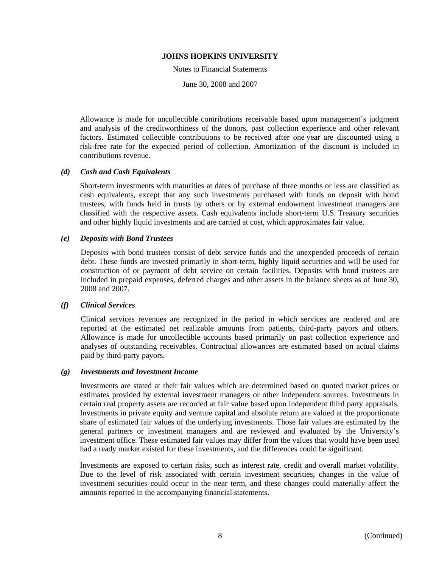Notes to Financial Statements

June 30, 2008 and 2007

Allowance is made for uncollectible contributions receivable based upon management's judgment and analysis of the creditworthiness of the donors, past collection experience and other relevant factors. Estimated collectible contributions to be received after one year are discounted using a risk-free rate for the expected period of collection. Amortization of the discount is included in contributions revenue.

# *(d) Cash and Cash Equivalents*

Short-term investments with maturities at dates of purchase of three months or less are classified as cash equivalents, except that any such investments purchased with funds on deposit with bond trustees, with funds held in trusts by others or by external endowment investment managers are classified with the respective assets. Cash equivalents include short-term U.S. Treasury securities and other highly liquid investments and are carried at cost, which approximates fair value.

# *(e) Deposits with Bond Trustees*

Deposits with bond trustees consist of debt service funds and the unexpended proceeds of certain debt. These funds are invested primarily in short-term, highly liquid securities and will be used for construction of or payment of debt service on certain facilities. Deposits with bond trustees are included in prepaid expenses, deferred charges and other assets in the balance sheets as of June 30, 2008 and 2007.

# *(f) Clinical Services*

Clinical services revenues are recognized in the period in which services are rendered and are reported at the estimated net realizable amounts from patients, third-party payors and others. Allowance is made for uncollectible accounts based primarily on past collection experience and analyses of outstanding receivables. Contractual allowances are estimated based on actual claims paid by third-party payors.

# *(g) Investments and Investment Income*

Investments are stated at their fair values which are determined based on quoted market prices or estimates provided by external investment managers or other independent sources. Investments in certain real property assets are recorded at fair value based upon independent third party appraisals. Investments in private equity and venture capital and absolute return are valued at the proportionate share of estimated fair values of the underlying investments. Those fair values are estimated by the general partners or investment managers and are reviewed and evaluated by the University's investment office. These estimated fair values may differ from the values that would have been used had a ready market existed for these investments, and the differences could be significant.

Investments are exposed to certain risks, such as interest rate, credit and overall market volatility. Due to the level of risk associated with certain investment securities, changes in the value of investment securities could occur in the near term, and these changes could materially affect the amounts reported in the accompanying financial statements.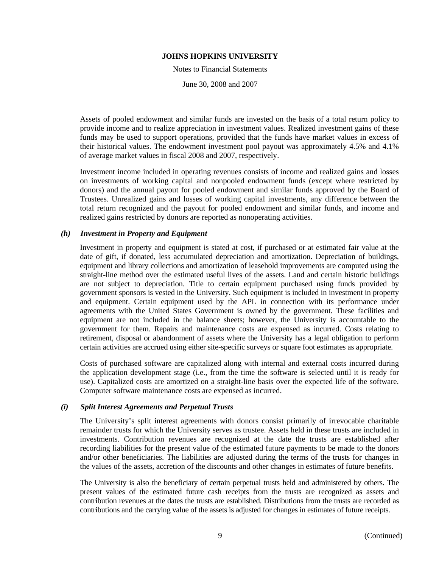Notes to Financial Statements

June 30, 2008 and 2007

Assets of pooled endowment and similar funds are invested on the basis of a total return policy to provide income and to realize appreciation in investment values. Realized investment gains of these funds may be used to support operations, provided that the funds have market values in excess of their historical values. The endowment investment pool payout was approximately 4.5% and 4.1% of average market values in fiscal 2008 and 2007, respectively.

Investment income included in operating revenues consists of income and realized gains and losses on investments of working capital and nonpooled endowment funds (except where restricted by donors) and the annual payout for pooled endowment and similar funds approved by the Board of Trustees. Unrealized gains and losses of working capital investments, any difference between the total return recognized and the payout for pooled endowment and similar funds, and income and realized gains restricted by donors are reported as nonoperating activities.

# *(h) Investment in Property and Equipment*

Investment in property and equipment is stated at cost, if purchased or at estimated fair value at the date of gift, if donated, less accumulated depreciation and amortization. Depreciation of buildings, equipment and library collections and amortization of leasehold improvements are computed using the straight-line method over the estimated useful lives of the assets. Land and certain historic buildings are not subject to depreciation. Title to certain equipment purchased using funds provided by government sponsors is vested in the University. Such equipment is included in investment in property and equipment. Certain equipment used by the APL in connection with its performance under agreements with the United States Government is owned by the government. These facilities and equipment are not included in the balance sheets; however, the University is accountable to the government for them. Repairs and maintenance costs are expensed as incurred. Costs relating to retirement, disposal or abandonment of assets where the University has a legal obligation to perform certain activities are accrued using either site-specific surveys or square foot estimates as appropriate.

Costs of purchased software are capitalized along with internal and external costs incurred during the application development stage (i.e., from the time the software is selected until it is ready for use). Capitalized costs are amortized on a straight-line basis over the expected life of the software. Computer software maintenance costs are expensed as incurred.

# *(i) Split Interest Agreements and Perpetual Trusts*

The University's split interest agreements with donors consist primarily of irrevocable charitable remainder trusts for which the University serves as trustee. Assets held in these trusts are included in investments. Contribution revenues are recognized at the date the trusts are established after recording liabilities for the present value of the estimated future payments to be made to the donors and/or other beneficiaries. The liabilities are adjusted during the terms of the trusts for changes in the values of the assets, accretion of the discounts and other changes in estimates of future benefits.

The University is also the beneficiary of certain perpetual trusts held and administered by others. The present values of the estimated future cash receipts from the trusts are recognized as assets and contribution revenues at the dates the trusts are established. Distributions from the trusts are recorded as contributions and the carrying value of the assets is adjusted for changes in estimates of future receipts.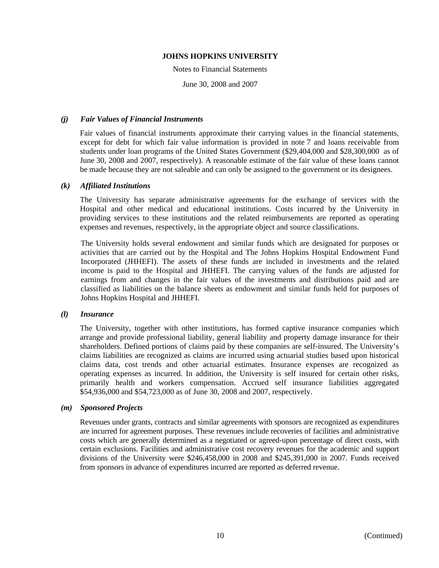#### Notes to Financial Statements

June 30, 2008 and 2007

# *(j) Fair Values of Financial Instruments*

Fair values of financial instruments approximate their carrying values in the financial statements, except for debt for which fair value information is provided in note 7 and loans receivable from students under loan programs of the United States Government (\$29,404,000 and \$28,300,000 as of June 30, 2008 and 2007, respectively). A reasonable estimate of the fair value of these loans cannot be made because they are not saleable and can only be assigned to the government or its designees.

# *(k) Affiliated Institutions*

The University has separate administrative agreements for the exchange of services with the Hospital and other medical and educational institutions. Costs incurred by the University in providing services to these institutions and the related reimbursements are reported as operating expenses and revenues, respectively, in the appropriate object and source classifications.

The University holds several endowment and similar funds which are designated for purposes or activities that are carried out by the Hospital and The Johns Hopkins Hospital Endowment Fund Incorporated (JHHEFI). The assets of these funds are included in investments and the related income is paid to the Hospital and JHHEFI. The carrying values of the funds are adjusted for earnings from and changes in the fair values of the investments and distributions paid and are classified as liabilities on the balance sheets as endowment and similar funds held for purposes of Johns Hopkins Hospital and JHHEFI.

# *(l) Insurance*

The University, together with other institutions, has formed captive insurance companies which arrange and provide professional liability, general liability and property damage insurance for their shareholders. Defined portions of claims paid by these companies are self-insured. The University's claims liabilities are recognized as claims are incurred using actuarial studies based upon historical claims data, cost trends and other actuarial estimates. Insurance expenses are recognized as operating expenses as incurred. In addition, the University is self insured for certain other risks, primarily health and workers compensation. Accrued self insurance liabilities aggregated \$54,936,000 and \$54,723,000 as of June 30, 2008 and 2007, respectively.

# *(m) Sponsored Projects*

Revenues under grants, contracts and similar agreements with sponsors are recognized as expenditures are incurred for agreement purposes. These revenues include recoveries of facilities and administrative costs which are generally determined as a negotiated or agreed-upon percentage of direct costs, with certain exclusions. Facilities and administrative cost recovery revenues for the academic and support divisions of the University were \$246,458,000 in 2008 and \$245,391,000 in 2007. Funds received from sponsors in advance of expenditures incurred are reported as deferred revenue.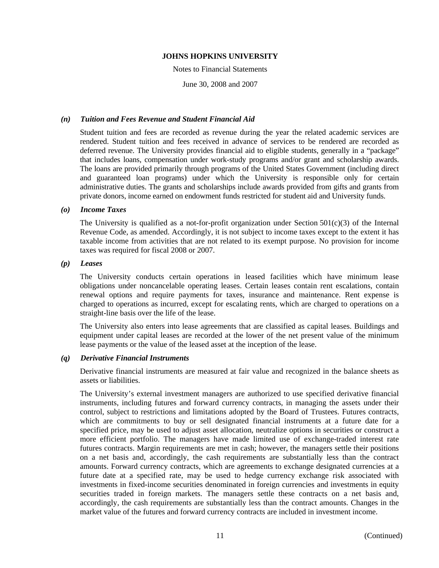#### Notes to Financial Statements

June 30, 2008 and 2007

# *(n) Tuition and Fees Revenue and Student Financial Aid*

Student tuition and fees are recorded as revenue during the year the related academic services are rendered. Student tuition and fees received in advance of services to be rendered are recorded as deferred revenue. The University provides financial aid to eligible students, generally in a "package" that includes loans, compensation under work-study programs and/or grant and scholarship awards. The loans are provided primarily through programs of the United States Government (including direct and guaranteed loan programs) under which the University is responsible only for certain administrative duties. The grants and scholarships include awards provided from gifts and grants from private donors, income earned on endowment funds restricted for student aid and University funds.

# *(o) Income Taxes*

The University is qualified as a not-for-profit organization under Section  $501(c)(3)$  of the Internal Revenue Code, as amended. Accordingly, it is not subject to income taxes except to the extent it has taxable income from activities that are not related to its exempt purpose. No provision for income taxes was required for fiscal 2008 or 2007.

# *(p) Leases*

The University conducts certain operations in leased facilities which have minimum lease obligations under noncancelable operating leases. Certain leases contain rent escalations, contain renewal options and require payments for taxes, insurance and maintenance. Rent expense is charged to operations as incurred, except for escalating rents, which are charged to operations on a straight-line basis over the life of the lease.

The University also enters into lease agreements that are classified as capital leases. Buildings and equipment under capital leases are recorded at the lower of the net present value of the minimum lease payments or the value of the leased asset at the inception of the lease.

# *(q) Derivative Financial Instruments*

Derivative financial instruments are measured at fair value and recognized in the balance sheets as assets or liabilities.

The University's external investment managers are authorized to use specified derivative financial instruments, including futures and forward currency contracts, in managing the assets under their control, subject to restrictions and limitations adopted by the Board of Trustees. Futures contracts, which are commitments to buy or sell designated financial instruments at a future date for a specified price, may be used to adjust asset allocation, neutralize options in securities or construct a more efficient portfolio. The managers have made limited use of exchange-traded interest rate futures contracts. Margin requirements are met in cash; however, the managers settle their positions on a net basis and, accordingly, the cash requirements are substantially less than the contract amounts. Forward currency contracts, which are agreements to exchange designated currencies at a future date at a specified rate, may be used to hedge currency exchange risk associated with investments in fixed-income securities denominated in foreign currencies and investments in equity securities traded in foreign markets. The managers settle these contracts on a net basis and, accordingly, the cash requirements are substantially less than the contract amounts. Changes in the market value of the futures and forward currency contracts are included in investment income.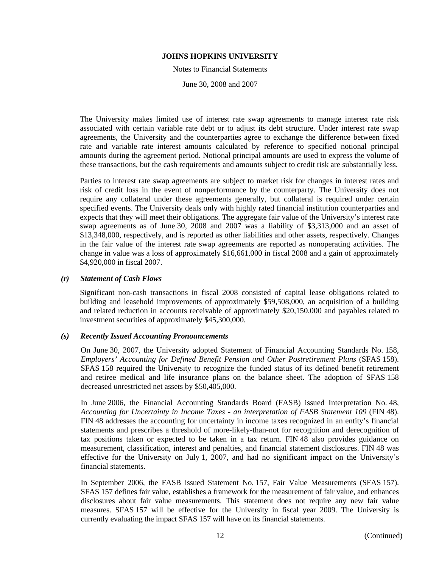Notes to Financial Statements

June 30, 2008 and 2007

The University makes limited use of interest rate swap agreements to manage interest rate risk associated with certain variable rate debt or to adjust its debt structure. Under interest rate swap agreements, the University and the counterparties agree to exchange the difference between fixed rate and variable rate interest amounts calculated by reference to specified notional principal amounts during the agreement period. Notional principal amounts are used to express the volume of these transactions, but the cash requirements and amounts subject to credit risk are substantially less.

Parties to interest rate swap agreements are subject to market risk for changes in interest rates and risk of credit loss in the event of nonperformance by the counterparty. The University does not require any collateral under these agreements generally, but collateral is required under certain specified events. The University deals only with highly rated financial institution counterparties and expects that they will meet their obligations. The aggregate fair value of the University's interest rate swap agreements as of June 30, 2008 and 2007 was a liability of \$3,313,000 and an asset of \$13,348,000, respectively, and is reported as other liabilities and other assets, respectively. Changes in the fair value of the interest rate swap agreements are reported as nonoperating activities. The change in value was a loss of approximately \$16,661,000 in fiscal 2008 and a gain of approximately \$4,920,000 in fiscal 2007.

# *(r) Statement of Cash Flows*

Significant non-cash transactions in fiscal 2008 consisted of capital lease obligations related to building and leasehold improvements of approximately \$59,508,000, an acquisition of a building and related reduction in accounts receivable of approximately \$20,150,000 and payables related to investment securities of approximately \$45,300,000.

# *(s) Recently Issued Accounting Pronouncements*

On June 30, 2007, the University adopted Statement of Financial Accounting Standards No. 158, *Employers' Accounting for Defined Benefit Pension and Other Postretirement Plans* (SFAS 158). SFAS 158 required the University to recognize the funded status of its defined benefit retirement and retiree medical and life insurance plans on the balance sheet. The adoption of SFAS 158 decreased unrestricted net assets by \$50,405,000.

In June 2006, the Financial Accounting Standards Board (FASB) issued Interpretation No. 48, *Accounting for Uncertainty in Income Taxes - an interpretation of FASB Statement 109* (FIN 48). FIN 48 addresses the accounting for uncertainty in income taxes recognized in an entity's financial statements and prescribes a threshold of more-likely-than-not for recognition and derecognition of tax positions taken or expected to be taken in a tax return. FIN 48 also provides guidance on measurement, classification, interest and penalties, and financial statement disclosures. FIN 48 was effective for the University on July 1, 2007, and had no significant impact on the University's financial statements.

In September 2006, the FASB issued Statement No. 157, Fair Value Measurements (SFAS 157). SFAS 157 defines fair value, establishes a framework for the measurement of fair value, and enhances disclosures about fair value measurements. This statement does not require any new fair value measures. SFAS 157 will be effective for the University in fiscal year 2009. The University is currently evaluating the impact SFAS 157 will have on its financial statements.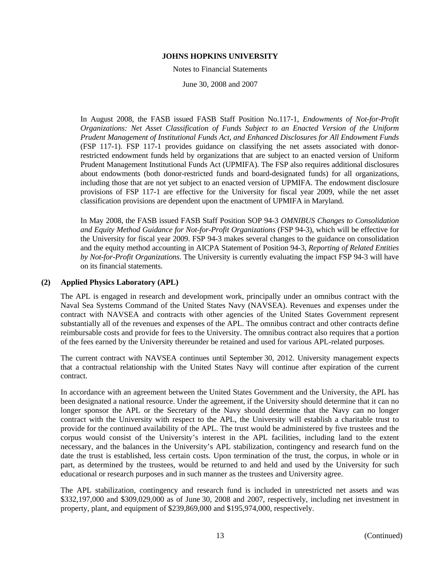#### Notes to Financial Statements

June 30, 2008 and 2007

In August 2008, the FASB issued FASB Staff Position No.117-1, *Endowments of Not-for-Profit Organizations: Net Asset Classification of Funds Subject to an Enacted Version of the Uniform Prudent Management of Institutional Funds Act, and Enhanced Disclosures for All Endowment Funds*  (FSP 117-1). FSP 117-1 provides guidance on classifying the net assets associated with donorrestricted endowment funds held by organizations that are subject to an enacted version of Uniform Prudent Management Institutional Funds Act (UPMIFA). The FSP also requires additional disclosures about endowments (both donor-restricted funds and board-designated funds) for all organizations, including those that are not yet subject to an enacted version of UPMIFA. The endowment disclosure provisions of FSP 117-1 are effective for the University for fiscal year 2009, while the net asset classification provisions are dependent upon the enactment of UPMIFA in Maryland.

In May 2008, the FASB issued FASB Staff Position SOP 94-3 *OMNIBUS Changes to Consolidation and Equity Method Guidance for Not-for-Profit Organizations* (FSP 94-3), which will be effective for the University for fiscal year 2009. FSP 94-3 makes several changes to the guidance on consolidation and the equity method accounting in AICPA Statement of Position 94-3, *Reporting of Related Entities by Not-for-Profit Organizations*. The University is currently evaluating the impact FSP 94-3 will have on its financial statements.

# **(2) Applied Physics Laboratory (APL)**

The APL is engaged in research and development work, principally under an omnibus contract with the Naval Sea Systems Command of the United States Navy (NAVSEA). Revenues and expenses under the contract with NAVSEA and contracts with other agencies of the United States Government represent substantially all of the revenues and expenses of the APL. The omnibus contract and other contracts define reimbursable costs and provide for fees to the University. The omnibus contract also requires that a portion of the fees earned by the University thereunder be retained and used for various APL-related purposes.

The current contract with NAVSEA continues until September 30, 2012. University management expects that a contractual relationship with the United States Navy will continue after expiration of the current contract.

In accordance with an agreement between the United States Government and the University, the APL has been designated a national resource. Under the agreement, if the University should determine that it can no longer sponsor the APL or the Secretary of the Navy should determine that the Navy can no longer contract with the University with respect to the APL, the University will establish a charitable trust to provide for the continued availability of the APL. The trust would be administered by five trustees and the corpus would consist of the University's interest in the APL facilities, including land to the extent necessary, and the balances in the University's APL stabilization, contingency and research fund on the date the trust is established, less certain costs. Upon termination of the trust, the corpus, in whole or in part, as determined by the trustees, would be returned to and held and used by the University for such educational or research purposes and in such manner as the trustees and University agree.

The APL stabilization, contingency and research fund is included in unrestricted net assets and was \$332,197,000 and \$309,029,000 as of June 30, 2008 and 2007, respectively, including net investment in property, plant, and equipment of \$239,869,000 and \$195,974,000, respectively.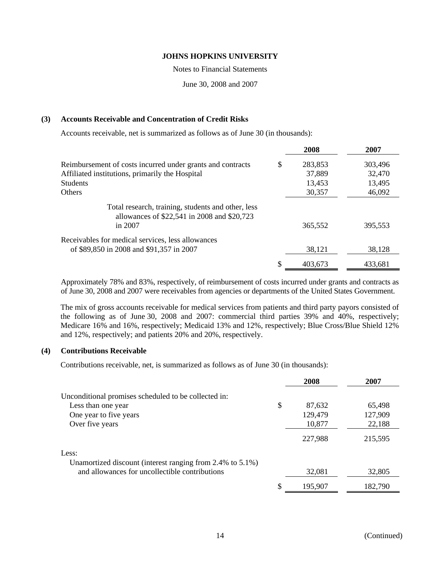Notes to Financial Statements

June 30, 2008 and 2007

# **(3) Accounts Receivable and Concentration of Credit Risks**

Accounts receivable, net is summarized as follows as of June 30 (in thousands):

|                                                                                                   | 2008          | 2007    |
|---------------------------------------------------------------------------------------------------|---------------|---------|
| Reimbursement of costs incurred under grants and contracts                                        | \$<br>283,853 | 303,496 |
| Affiliated institutions, primarily the Hospital                                                   | 37,889        | 32,470  |
| <b>Students</b>                                                                                   | 13,453        | 13,495  |
| <b>Others</b>                                                                                     | 30,357        | 46,092  |
| Total research, training, students and other, less<br>allowances of \$22,541 in 2008 and \$20,723 |               |         |
| in 2007                                                                                           | 365,552       | 395,553 |
| Receivables for medical services, less allowances                                                 |               |         |
| of \$89,850 in 2008 and \$91,357 in 2007                                                          | 38,121        | 38,128  |
|                                                                                                   | \$<br>403,673 | 433,681 |

Approximately 78% and 83%, respectively, of reimbursement of costs incurred under grants and contracts as of June 30, 2008 and 2007 were receivables from agencies or departments of the United States Government.

The mix of gross accounts receivable for medical services from patients and third party payors consisted of the following as of June 30, 2008 and 2007: commercial third parties 39% and 40%, respectively; Medicare 16% and 16%, respectively; Medicaid 13% and 12%, respectively; Blue Cross/Blue Shield 12% and 12%, respectively; and patients 20% and 20%, respectively.

# **(4) Contributions Receivable**

Contributions receivable, net, is summarized as follows as of June 30 (in thousands):

|                                                           | 2008          | 2007    |
|-----------------------------------------------------------|---------------|---------|
| Unconditional promises scheduled to be collected in:      |               |         |
| Less than one year                                        | \$<br>87,632  | 65,498  |
| One year to five years                                    | 129,479       | 127,909 |
| Over five years                                           | 10,877        | 22,188  |
|                                                           | 227,988       | 215,595 |
| Less:                                                     |               |         |
| Unamortized discount (interest ranging from 2.4% to 5.1%) |               |         |
| and allowances for uncollectible contributions            | 32,081        | 32,805  |
|                                                           | \$<br>195,907 | 182,790 |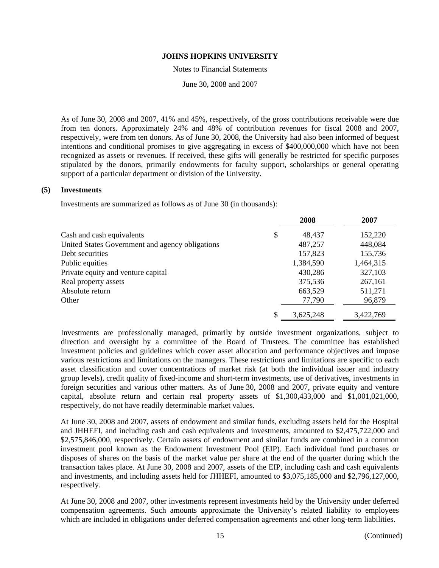Notes to Financial Statements

June 30, 2008 and 2007

As of June 30, 2008 and 2007, 41% and 45%, respectively, of the gross contributions receivable were due from ten donors. Approximately 24% and 48% of contribution revenues for fiscal 2008 and 2007, respectively, were from ten donors. As of June 30, 2008, the University had also been informed of bequest intentions and conditional promises to give aggregating in excess of \$400,000,000 which have not been recognized as assets or revenues. If received, these gifts will generally be restricted for specific purposes stipulated by the donors, primarily endowments for faculty support, scholarships or general operating support of a particular department or division of the University.

# **(5) Investments**

Investments are summarized as follows as of June 30 (in thousands):

|                                                 | 2008            | 2007      |
|-------------------------------------------------|-----------------|-----------|
| Cash and cash equivalents                       | \$<br>48,437    | 152,220   |
| United States Government and agency obligations | 487,257         | 448,084   |
| Debt securities                                 | 157,823         | 155,736   |
| Public equities                                 | 1,384,590       | 1,464,315 |
| Private equity and venture capital              | 430,286         | 327,103   |
| Real property assets                            | 375,536         | 267,161   |
| Absolute return                                 | 663,529         | 511,271   |
| Other                                           | 77,790          | 96,879    |
|                                                 | \$<br>3,625,248 | 3,422,769 |

Investments are professionally managed, primarily by outside investment organizations, subject to direction and oversight by a committee of the Board of Trustees. The committee has established investment policies and guidelines which cover asset allocation and performance objectives and impose various restrictions and limitations on the managers. These restrictions and limitations are specific to each asset classification and cover concentrations of market risk (at both the individual issuer and industry group levels), credit quality of fixed-income and short-term investments, use of derivatives, investments in foreign securities and various other matters. As of June 30, 2008 and 2007, private equity and venture capital, absolute return and certain real property assets of \$1,300,433,000 and \$1,001,021,000, respectively, do not have readily determinable market values.

At June 30, 2008 and 2007, assets of endowment and similar funds, excluding assets held for the Hospital and JHHEFI, and including cash and cash equivalents and investments, amounted to \$2,475,722,000 and \$2,575,846,000, respectively. Certain assets of endowment and similar funds are combined in a common investment pool known as the Endowment Investment Pool (EIP). Each individual fund purchases or disposes of shares on the basis of the market value per share at the end of the quarter during which the transaction takes place. At June 30, 2008 and 2007, assets of the EIP, including cash and cash equivalents and investments, and including assets held for JHHEFI, amounted to \$3,075,185,000 and \$2,796,127,000, respectively.

At June 30, 2008 and 2007, other investments represent investments held by the University under deferred compensation agreements. Such amounts approximate the University's related liability to employees which are included in obligations under deferred compensation agreements and other long-term liabilities.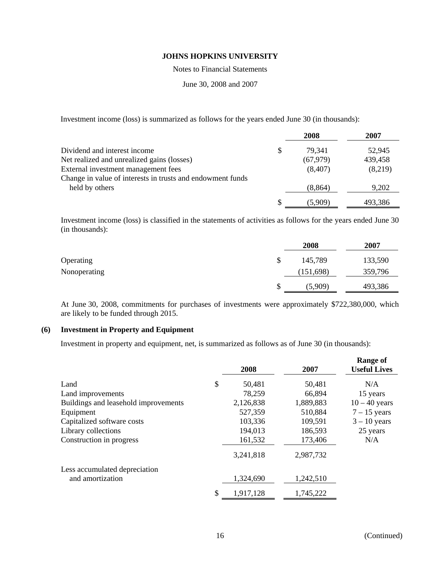Notes to Financial Statements

June 30, 2008 and 2007

Investment income (loss) is summarized as follows for the years ended June 30 (in thousands):

|                                                            |    | 2008      | 2007    |
|------------------------------------------------------------|----|-----------|---------|
| Dividend and interest income                               | \$ | 79,341    | 52,945  |
| Net realized and unrealized gains (losses)                 |    | (67, 979) | 439,458 |
| External investment management fees                        |    | (8,407)   | (8,219) |
| Change in value of interests in trusts and endowment funds |    |           |         |
| held by others                                             |    | (8, 864)  | 9,202   |
|                                                            | S  | (5.909)   | 493,386 |

Investment income (loss) is classified in the statements of activities as follows for the years ended June 30 (in thousands):

|              | 2008          | 2007    |
|--------------|---------------|---------|
| Operating    | \$<br>145,789 | 133,590 |
| Nonoperating | (151,698)     | 359,796 |
|              | \$<br>(5,909) | 493,386 |

At June 30, 2008, commitments for purchases of investments were approximately \$722,380,000, which are likely to be funded through 2015.

# **(6) Investment in Property and Equipment**

Investment in property and equipment, net, is summarized as follows as of June 30 (in thousands):

|                                      | 2008            | 2007      | <b>Range of</b><br><b>Useful Lives</b> |
|--------------------------------------|-----------------|-----------|----------------------------------------|
| Land                                 | \$<br>50,481    | 50,481    | N/A                                    |
| Land improvements                    | 78,259          | 66,894    | 15 years                               |
| Buildings and leasehold improvements | 2,126,838       | 1,889,883 | $10 - 40$ years                        |
| Equipment                            | 527,359         | 510,884   | $7 - 15$ years                         |
| Capitalized software costs           | 103,336         | 109,591   | $3 - 10$ years                         |
| Library collections                  | 194,013         | 186,593   | 25 years                               |
| Construction in progress             | 161,532         | 173,406   | N/A                                    |
|                                      | 3,241,818       | 2,987,732 |                                        |
| Less accumulated depreciation        |                 |           |                                        |
| and amortization                     | 1,324,690       | 1,242,510 |                                        |
|                                      | \$<br>1,917,128 | 1,745,222 |                                        |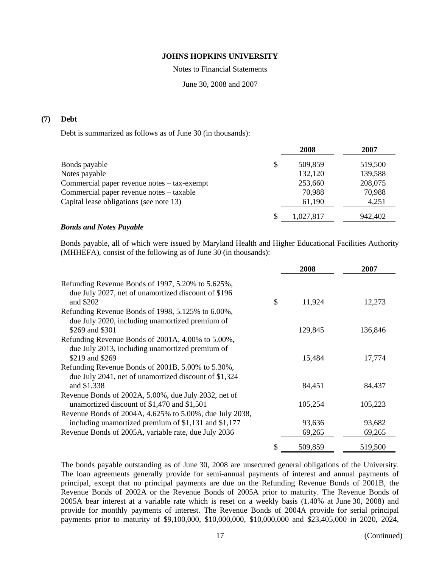Notes to Financial Statements

June 30, 2008 and 2007

# **(7) Debt**

Debt is summarized as follows as of June 30 (in thousands):

|                                             |    | 2008      | 2007    |
|---------------------------------------------|----|-----------|---------|
| Bonds payable                               | \$ | 509,859   | 519,500 |
| Notes payable                               |    | 132,120   | 139,588 |
| Commercial paper revenue notes – tax-exempt |    | 253,660   | 208,075 |
| Commercial paper revenue notes – taxable    |    | 70,988    | 70,988  |
| Capital lease obligations (see note 13)     |    | 61,190    | 4,251   |
|                                             | S  | 1,027,817 | 942,402 |

#### *Bonds and Notes Payable*

Bonds payable, all of which were issued by Maryland Health and Higher Educational Facilities Authority (MHHEFA), consist of the following as of June 30 (in thousands):

|                                                                                                                       | 2008          | 2007    |
|-----------------------------------------------------------------------------------------------------------------------|---------------|---------|
| Refunding Revenue Bonds of 1997, 5.20% to 5.625%,<br>due July 2027, net of unamortized discount of \$196<br>and \$202 | \$<br>11,924  | 12,273  |
| Refunding Revenue Bonds of 1998, 5.125% to 6.00%,                                                                     |               |         |
| due July 2020, including unamortized premium of                                                                       |               |         |
| \$269 and \$301                                                                                                       | 129,845       | 136,846 |
| Refunding Revenue Bonds of 2001A, 4.00% to 5.00%,<br>due July 2013, including unamortized premium of                  |               |         |
| \$219 and \$269                                                                                                       | 15,484        | 17,774  |
| Refunding Revenue Bonds of 2001B, 5.00% to 5.30%,<br>due July 2041, net of unamortized discount of \$1,324            |               |         |
| and \$1,338                                                                                                           | 84,451        | 84,437  |
| Revenue Bonds of 2002A, 5.00%, due July 2032, net of<br>unamortized discount of \$1,470 and \$1,501                   | 105,254       | 105,223 |
| Revenue Bonds of 2004A, 4.625% to 5.00%, due July 2038,<br>including unamortized premium of \$1,131 and \$1,177       | 93,636        | 93,682  |
|                                                                                                                       |               |         |
| Revenue Bonds of 2005A, variable rate, due July 2036                                                                  | 69,265        | 69,265  |
|                                                                                                                       | \$<br>509,859 | 519,500 |

The bonds payable outstanding as of June 30, 2008 are unsecured general obligations of the University. The loan agreements generally provide for semi-annual payments of interest and annual payments of principal, except that no principal payments are due on the Refunding Revenue Bonds of 2001B, the Revenue Bonds of 2002A or the Revenue Bonds of 2005A prior to maturity. The Revenue Bonds of 2005A bear interest at a variable rate which is reset on a weekly basis (1.40% at June 30, 2008) and provide for monthly payments of interest. The Revenue Bonds of 2004A provide for serial principal payments prior to maturity of \$9,100,000, \$10,000,000, \$10,000,000 and \$23,405,000 in 2020, 2024,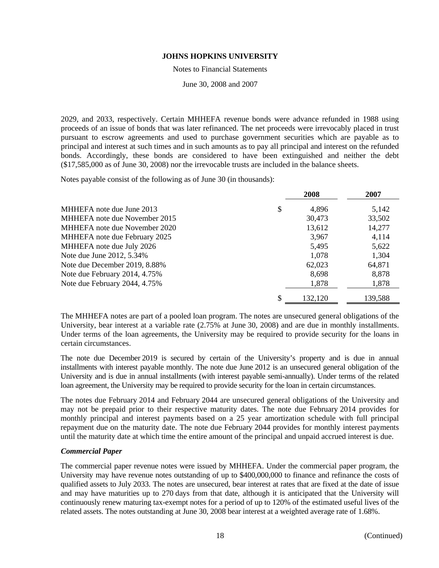#### Notes to Financial Statements

June 30, 2008 and 2007

2029, and 2033, respectively. Certain MHHEFA revenue bonds were advance refunded in 1988 using proceeds of an issue of bonds that was later refinanced. The net proceeds were irrevocably placed in trust pursuant to escrow agreements and used to purchase government securities which are payable as to principal and interest at such times and in such amounts as to pay all principal and interest on the refunded bonds. Accordingly, these bonds are considered to have been extinguished and neither the debt (\$17,585,000 as of June 30, 2008) nor the irrevocable trusts are included in the balance sheets.

Notes payable consist of the following as of June 30 (in thousands):

|                               | 2008          | 2007    |
|-------------------------------|---------------|---------|
| MHHEFA note due June 2013     | \$<br>4,896   | 5,142   |
| MHHEFA note due November 2015 | 30,473        | 33,502  |
| MHHEFA note due November 2020 | 13,612        | 14,277  |
| MHHEFA note due February 2025 | 3,967         | 4,114   |
| MHHEFA note due July 2026     | 5,495         | 5,622   |
| Note due June 2012, 5.34%     | 1,078         | 1,304   |
| Note due December 2019, 8.88% | 62,023        | 64,871  |
| Note due February 2014, 4.75% | 8,698         | 8,878   |
| Note due February 2044, 4.75% | 1,878         | 1,878   |
|                               | \$<br>132,120 | 139,588 |

The MHHEFA notes are part of a pooled loan program. The notes are unsecured general obligations of the University, bear interest at a variable rate (2.75% at June 30, 2008) and are due in monthly installments. Under terms of the loan agreements, the University may be required to provide security for the loans in certain circumstances.

The note due December 2019 is secured by certain of the University's property and is due in annual installments with interest payable monthly. The note due June 2012 is an unsecured general obligation of the University and is due in annual installments (with interest payable semi-annually). Under terms of the related loan agreement, the University may be required to provide security for the loan in certain circumstances.

The notes due February 2014 and February 2044 are unsecured general obligations of the University and may not be prepaid prior to their respective maturity dates. The note due February 2014 provides for monthly principal and interest payments based on a 25 year amortization schedule with full principal repayment due on the maturity date. The note due February 2044 provides for monthly interest payments until the maturity date at which time the entire amount of the principal and unpaid accrued interest is due.

# *Commercial Paper*

The commercial paper revenue notes were issued by MHHEFA. Under the commercial paper program, the University may have revenue notes outstanding of up to \$400,000,000 to finance and refinance the costs of qualified assets to July 2033. The notes are unsecured, bear interest at rates that are fixed at the date of issue and may have maturities up to 270 days from that date, although it is anticipated that the University will continuously renew maturing tax-exempt notes for a period of up to 120% of the estimated useful lives of the related assets. The notes outstanding at June 30, 2008 bear interest at a weighted average rate of 1.68%.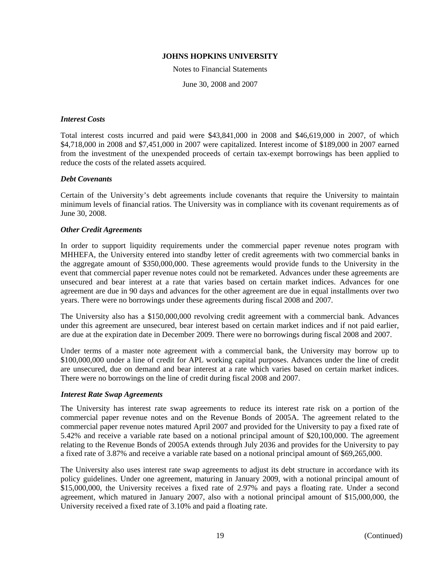Notes to Financial Statements

June 30, 2008 and 2007

# *Interest Costs*

Total interest costs incurred and paid were \$43,841,000 in 2008 and \$46,619,000 in 2007, of which \$4,718,000 in 2008 and \$7,451,000 in 2007 were capitalized. Interest income of \$189,000 in 2007 earned from the investment of the unexpended proceeds of certain tax-exempt borrowings has been applied to reduce the costs of the related assets acquired.

#### *Debt Covenants*

Certain of the University's debt agreements include covenants that require the University to maintain minimum levels of financial ratios. The University was in compliance with its covenant requirements as of June 30, 2008.

#### *Other Credit Agreements*

In order to support liquidity requirements under the commercial paper revenue notes program with MHHEFA, the University entered into standby letter of credit agreements with two commercial banks in the aggregate amount of \$350,000,000. These agreements would provide funds to the University in the event that commercial paper revenue notes could not be remarketed. Advances under these agreements are unsecured and bear interest at a rate that varies based on certain market indices. Advances for one agreement are due in 90 days and advances for the other agreement are due in equal installments over two years. There were no borrowings under these agreements during fiscal 2008 and 2007.

The University also has a \$150,000,000 revolving credit agreement with a commercial bank. Advances under this agreement are unsecured, bear interest based on certain market indices and if not paid earlier, are due at the expiration date in December 2009. There were no borrowings during fiscal 2008 and 2007.

Under terms of a master note agreement with a commercial bank, the University may borrow up to \$100,000,000 under a line of credit for APL working capital purposes. Advances under the line of credit are unsecured, due on demand and bear interest at a rate which varies based on certain market indices. There were no borrowings on the line of credit during fiscal 2008 and 2007.

#### *Interest Rate Swap Agreements*

The University has interest rate swap agreements to reduce its interest rate risk on a portion of the commercial paper revenue notes and on the Revenue Bonds of 2005A. The agreement related to the commercial paper revenue notes matured April 2007 and provided for the University to pay a fixed rate of 5.42% and receive a variable rate based on a notional principal amount of \$20,100,000. The agreement relating to the Revenue Bonds of 2005A extends through July 2036 and provides for the University to pay a fixed rate of 3.87% and receive a variable rate based on a notional principal amount of \$69,265,000.

The University also uses interest rate swap agreements to adjust its debt structure in accordance with its policy guidelines. Under one agreement, maturing in January 2009, with a notional principal amount of \$15,000,000, the University receives a fixed rate of 2.97% and pays a floating rate. Under a second agreement, which matured in January 2007, also with a notional principal amount of \$15,000,000, the University received a fixed rate of 3.10% and paid a floating rate.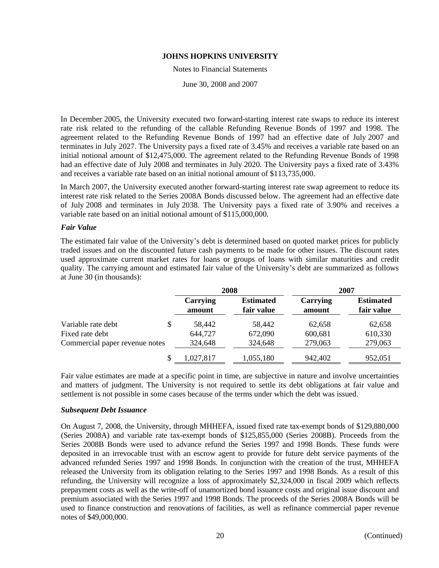#### Notes to Financial Statements

June 30, 2008 and 2007

In December 2005, the University executed two forward-starting interest rate swaps to reduce its interest rate risk related to the refunding of the callable Refunding Revenue Bonds of 1997 and 1998. The agreement related to the Refunding Revenue Bonds of 1997 had an effective date of July 2007 and terminates in July 2027. The University pays a fixed rate of 3.45% and receives a variable rate based on an initial notional amount of \$12,475,000. The agreement related to the Refunding Revenue Bonds of 1998 had an effective date of July 2008 and terminates in July 2020. The University pays a fixed rate of 3.43% and receives a variable rate based on an initial notional amount of \$113,735,000.

In March 2007, the University executed another forward-starting interest rate swap agreement to reduce its interest rate risk related to the Series 2008A Bonds discussed below. The agreement had an effective date of July 2008 and terminates in July 2038. The University pays a fixed rate of 3.90% and receives a variable rate based on an initial notional amount of \$115,000,000.

# *Fair Value*

The estimated fair value of the University's debt is determined based on quoted market prices for publicly traded issues and on the discounted future cash payments to be made for other issues. The discount rates used approximate current market rates for loans or groups of loans with similar maturities and credit quality. The carrying amount and estimated fair value of the University's debt are summarized as follows at June 30 (in thousands):

|                                |                           | 2008                           | 2007               |                                |
|--------------------------------|---------------------------|--------------------------------|--------------------|--------------------------------|
|                                | <b>Carrying</b><br>amount | <b>Estimated</b><br>fair value | Carrying<br>amount | <b>Estimated</b><br>fair value |
| Variable rate debt             | \$<br>58,442              | 58,442                         | 62.658             | 62,658                         |
| Fixed rate debt                | 644,727                   | 672,090                        | 600,681            | 610,330                        |
| Commercial paper revenue notes | 324,648                   | 324,648                        | 279,063            | 279,063                        |
|                                | \$<br>1,027,817           | 1,055,180                      | 942,402            | 952,051                        |

Fair value estimates are made at a specific point in time, are subjective in nature and involve uncertainties and matters of judgment. The University is not required to settle its debt obligations at fair value and settlement is not possible in some cases because of the terms under which the debt was issued.

# *Subsequent Debt Issuance*

On August 7, 2008, the University, through MHHEFA, issued fixed rate tax-exempt bonds of \$129,880,000 (Series 2008A) and variable rate tax-exempt bonds of \$125,855,000 (Series 2008B). Proceeds from the Series 2008B Bonds were used to advance refund the Series 1997 and 1998 Bonds. These funds were deposited in an irrevocable trust with an escrow agent to provide for future debt service payments of the advanced refunded Series 1997 and 1998 Bonds. In conjunction with the creation of the trust, MHHEFA released the University from its obligation relating to the Series 1997 and 1998 Bonds. As a result of this refunding, the University will recognize a loss of approximately \$2,324,000 in fiscal 2009 which reflects prepayment costs as well as the write-off of unamortized bond issuance costs and original issue discount and premium associated with the Series 1997 and 1998 Bonds. The proceeds of the Series 2008A Bonds will be used to finance construction and renovations of facilities, as well as refinance commercial paper revenue notes of \$49,000,000.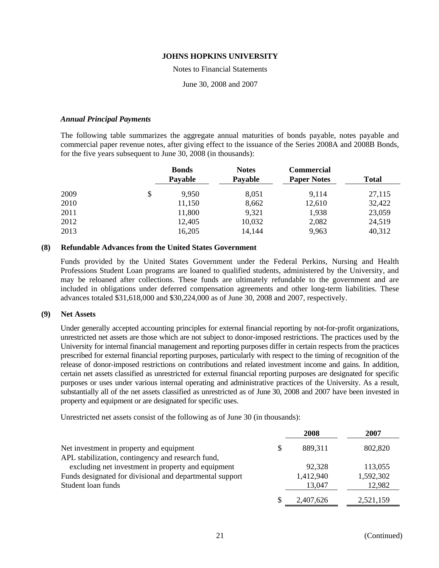#### Notes to Financial Statements

June 30, 2008 and 2007

# *Annual Principal Payments*

The following table summarizes the aggregate annual maturities of bonds payable, notes payable and commercial paper revenue notes, after giving effect to the issuance of the Series 2008A and 2008B Bonds, for the five years subsequent to June 30, 2008 (in thousands):

|      | <b>Bonds</b><br><b>Payable</b> | <b>Notes</b><br>Payable | <b>Commercial</b><br><b>Paper Notes</b> | <b>Total</b> |
|------|--------------------------------|-------------------------|-----------------------------------------|--------------|
| 2009 | \$<br>9,950                    | 8,051                   | 9.114                                   | 27,115       |
| 2010 | 11,150                         | 8,662                   | 12,610                                  | 32,422       |
| 2011 | 11,800                         | 9,321                   | 1,938                                   | 23,059       |
| 2012 | 12,405                         | 10,032                  | 2,082                                   | 24,519       |
| 2013 | 16,205                         | 14,144                  | 9,963                                   | 40,312       |

# **(8) Refundable Advances from the United States Government**

Funds provided by the United States Government under the Federal Perkins, Nursing and Health Professions Student Loan programs are loaned to qualified students, administered by the University, and may be reloaned after collections. These funds are ultimately refundable to the government and are included in obligations under deferred compensation agreements and other long-term liabilities. These advances totaled \$31,618,000 and \$30,224,000 as of June 30, 2008 and 2007, respectively.

# **(9) Net Assets**

Under generally accepted accounting principles for external financial reporting by not-for-profit organizations, unrestricted net assets are those which are not subject to donor-imposed restrictions. The practices used by the University for internal financial management and reporting purposes differ in certain respects from the practices prescribed for external financial reporting purposes, particularly with respect to the timing of recognition of the release of donor-imposed restrictions on contributions and related investment income and gains. In addition, certain net assets classified as unrestricted for external financial reporting purposes are designated for specific purposes or uses under various internal operating and administrative practices of the University. As a result, substantially all of the net assets classified as unrestricted as of June 30, 2008 and 2007 have been invested in property and equipment or are designated for specific uses.

Unrestricted net assets consist of the following as of June 30 (in thousands):

|                                                          | 2008            | 2007      |
|----------------------------------------------------------|-----------------|-----------|
| Net investment in property and equipment                 | \$<br>889,311   | 802,820   |
| APL stabilization, contingency and research fund,        |                 |           |
| excluding net investment in property and equipment       | 92,328          | 113,055   |
| Funds designated for divisional and departmental support | 1,412,940       | 1,592,302 |
| Student loan funds                                       | 13,047          | 12,982    |
|                                                          | \$<br>2,407,626 | 2,521,159 |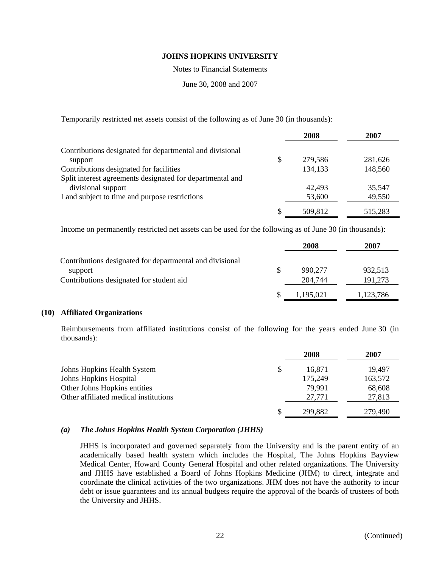Notes to Financial Statements

June 30, 2008 and 2007

Temporarily restricted net assets consist of the following as of June 30 (in thousands):

|                                                           | 2008          | 2007    |
|-----------------------------------------------------------|---------------|---------|
| Contributions designated for departmental and divisional  |               |         |
| support                                                   | \$<br>279,586 | 281,626 |
| Contributions designated for facilities                   | 134,133       | 148,560 |
| Split interest agreements designated for departmental and |               |         |
| divisional support                                        | 42,493        | 35,547  |
| Land subject to time and purpose restrictions             | 53,600        | 49,550  |
|                                                           | \$<br>509,812 | 515,283 |

Income on permanently restricted net assets can be used for the following as of June 30 (in thousands):

|                                                          |    | 2008      | 2007      |
|----------------------------------------------------------|----|-----------|-----------|
| Contributions designated for departmental and divisional |    |           |           |
| support                                                  | \$ | 990,277   | 932,513   |
| Contributions designated for student aid                 |    | 204,744   | 191,273   |
|                                                          | S  | 1,195,021 | 1,123,786 |

# **(10) Affiliated Organizations**

Reimbursements from affiliated institutions consist of the following for the years ended June 30 (in thousands):

|                                       | 2008          | 2007    |
|---------------------------------------|---------------|---------|
| Johns Hopkins Health System           | \$<br>16,871  | 19.497  |
| Johns Hopkins Hospital                | 175,249       | 163,572 |
| Other Johns Hopkins entities          | 79.991        | 68,608  |
| Other affiliated medical institutions | 27,771        | 27,813  |
|                                       | \$<br>299,882 | 279,490 |

# *(a) The Johns Hopkins Health System Corporation (JHHS)*

JHHS is incorporated and governed separately from the University and is the parent entity of an academically based health system which includes the Hospital, The Johns Hopkins Bayview Medical Center, Howard County General Hospital and other related organizations. The University and JHHS have established a Board of Johns Hopkins Medicine (JHM) to direct, integrate and coordinate the clinical activities of the two organizations. JHM does not have the authority to incur debt or issue guarantees and its annual budgets require the approval of the boards of trustees of both the University and JHHS.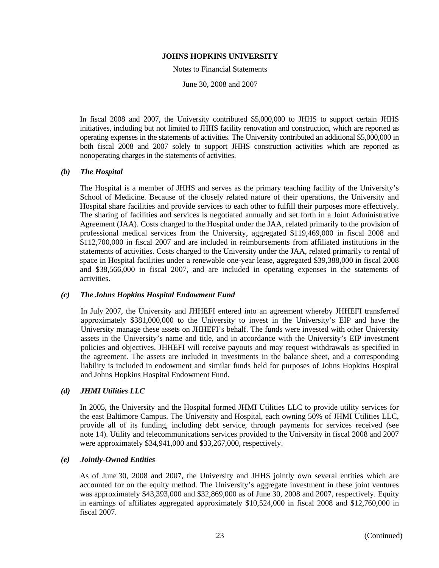Notes to Financial Statements

June 30, 2008 and 2007

In fiscal 2008 and 2007, the University contributed \$5,000,000 to JHHS to support certain JHHS initiatives, including but not limited to JHHS facility renovation and construction, which are reported as operating expenses in the statements of activities. The University contributed an additional \$5,000,000 in both fiscal 2008 and 2007 solely to support JHHS construction activities which are reported as nonoperating charges in the statements of activities.

# *(b) The Hospital*

The Hospital is a member of JHHS and serves as the primary teaching facility of the University's School of Medicine. Because of the closely related nature of their operations, the University and Hospital share facilities and provide services to each other to fulfill their purposes more effectively. The sharing of facilities and services is negotiated annually and set forth in a Joint Administrative Agreement (JAA). Costs charged to the Hospital under the JAA, related primarily to the provision of professional medical services from the University, aggregated \$119,469,000 in fiscal 2008 and \$112,700,000 in fiscal 2007 and are included in reimbursements from affiliated institutions in the statements of activities. Costs charged to the University under the JAA, related primarily to rental of space in Hospital facilities under a renewable one-year lease, aggregated \$39,388,000 in fiscal 2008 and \$38,566,000 in fiscal 2007, and are included in operating expenses in the statements of activities.

# *(c) The Johns Hopkins Hospital Endowment Fund*

In July 2007, the University and JHHEFI entered into an agreement whereby JHHEFI transferred approximately \$381,000,000 to the University to invest in the University's EIP and have the University manage these assets on JHHEFI's behalf. The funds were invested with other University assets in the University's name and title, and in accordance with the University's EIP investment policies and objectives. JHHEFI will receive payouts and may request withdrawals as specified in the agreement. The assets are included in investments in the balance sheet, and a corresponding liability is included in endowment and similar funds held for purposes of Johns Hopkins Hospital and Johns Hopkins Hospital Endowment Fund.

# *(d) JHMI Utilities LLC*

In 2005, the University and the Hospital formed JHMI Utilities LLC to provide utility services for the east Baltimore Campus. The University and Hospital, each owning 50% of JHMI Utilities LLC, provide all of its funding, including debt service, through payments for services received (see note 14). Utility and telecommunications services provided to the University in fiscal 2008 and 2007 were approximately \$34,941,000 and \$33,267,000, respectively.

# *(e) Jointly-Owned Entities*

As of June 30, 2008 and 2007, the University and JHHS jointly own several entities which are accounted for on the equity method. The University's aggregate investment in these joint ventures was approximately \$43,393,000 and \$32,869,000 as of June 30, 2008 and 2007, respectively. Equity in earnings of affiliates aggregated approximately \$10,524,000 in fiscal 2008 and \$12,760,000 in fiscal 2007.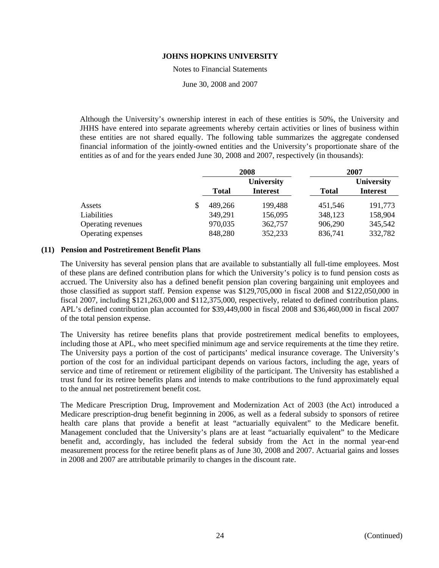Notes to Financial Statements

June 30, 2008 and 2007

Although the University's ownership interest in each of these entities is 50%, the University and JHHS have entered into separate agreements whereby certain activities or lines of business within these entities are not shared equally. The following table summarizes the aggregate condensed financial information of the jointly-owned entities and the University's proportionate share of the entities as of and for the years ended June 30, 2008 and 2007, respectively (in thousands):

|                    | 2008          |                                      |              | 2007                          |
|--------------------|---------------|--------------------------------------|--------------|-------------------------------|
|                    | <b>Total</b>  | <b>University</b><br><b>Interest</b> | <b>Total</b> | University<br><b>Interest</b> |
| Assets             | \$<br>489,266 | 199,488                              | 451,546      | 191,773                       |
| Liabilities        | 349,291       | 156,095                              | 348,123      | 158,904                       |
| Operating revenues | 970,035       | 362,757                              | 906,290      | 345,542                       |
| Operating expenses | 848,280       | 352,233                              | 836,741      | 332,782                       |

# **(11) Pension and Postretirement Benefit Plans**

The University has several pension plans that are available to substantially all full-time employees. Most of these plans are defined contribution plans for which the University's policy is to fund pension costs as accrued. The University also has a defined benefit pension plan covering bargaining unit employees and those classified as support staff. Pension expense was \$129,705,000 in fiscal 2008 and \$122,050,000 in fiscal 2007, including \$121,263,000 and \$112,375,000, respectively, related to defined contribution plans. APL's defined contribution plan accounted for \$39,449,000 in fiscal 2008 and \$36,460,000 in fiscal 2007 of the total pension expense.

The University has retiree benefits plans that provide postretirement medical benefits to employees, including those at APL, who meet specified minimum age and service requirements at the time they retire. The University pays a portion of the cost of participants' medical insurance coverage. The University's portion of the cost for an individual participant depends on various factors, including the age, years of service and time of retirement or retirement eligibility of the participant. The University has established a trust fund for its retiree benefits plans and intends to make contributions to the fund approximately equal to the annual net postretirement benefit cost.

The Medicare Prescription Drug, Improvement and Modernization Act of 2003 (the Act) introduced a Medicare prescription-drug benefit beginning in 2006, as well as a federal subsidy to sponsors of retiree health care plans that provide a benefit at least "actuarially equivalent" to the Medicare benefit. Management concluded that the University's plans are at least "actuarially equivalent" to the Medicare benefit and, accordingly, has included the federal subsidy from the Act in the normal year-end measurement process for the retiree benefit plans as of June 30, 2008 and 2007. Actuarial gains and losses in 2008 and 2007 are attributable primarily to changes in the discount rate.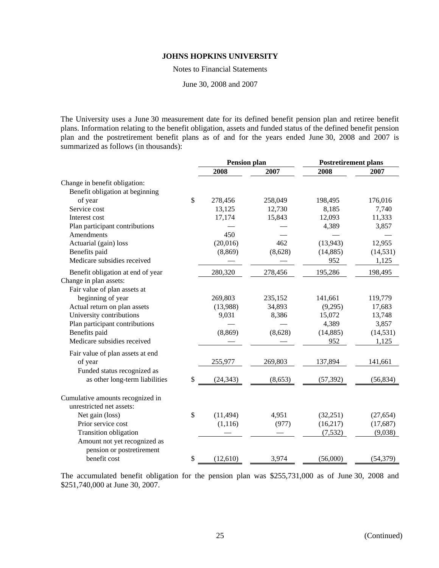Notes to Financial Statements

June 30, 2008 and 2007

The University uses a June 30 measurement date for its defined benefit pension plan and retiree benefit plans. Information relating to the benefit obligation, assets and funded status of the defined benefit pension plan and the postretirement benefit plans as of and for the years ended June 30, 2008 and 2007 is summarized as follows (in thousands):

|                                   | <b>Pension plan</b> |         | <b>Postretirement plans</b> |           |  |
|-----------------------------------|---------------------|---------|-----------------------------|-----------|--|
|                                   | 2008                | 2007    | 2008                        | 2007      |  |
| Change in benefit obligation:     |                     |         |                             |           |  |
| Benefit obligation at beginning   |                     |         |                             |           |  |
| of year                           | \$<br>278,456       | 258,049 | 198,495                     | 176,016   |  |
| Service cost                      | 13,125              | 12,730  | 8,185                       | 7,740     |  |
| Interest cost                     | 17,174              | 15,843  | 12,093                      | 11,333    |  |
| Plan participant contributions    |                     |         | 4,389                       | 3,857     |  |
| Amendments                        | 450                 |         |                             |           |  |
| Actuarial (gain) loss             | (20,016)            | 462     | (13,943)                    | 12,955    |  |
| Benefits paid                     | (8, 869)            | (8,628) | (14, 885)                   | (14, 531) |  |
| Medicare subsidies received       |                     |         | 952                         | 1,125     |  |
| Benefit obligation at end of year | 280,320             | 278,456 | 195,286                     | 198,495   |  |
| Change in plan assets:            |                     |         |                             |           |  |
| Fair value of plan assets at      |                     |         |                             |           |  |
| beginning of year                 | 269,803             | 235,152 | 141,661                     | 119,779   |  |
| Actual return on plan assets      | (13,988)            | 34,893  | (9,295)                     | 17,683    |  |
| University contributions          | 9,031               | 8,386   | 15,072                      | 13,748    |  |
| Plan participant contributions    |                     |         | 4,389                       | 3,857     |  |
| Benefits paid                     | (8, 869)            | (8,628) | (14, 885)                   | (14, 531) |  |
| Medicare subsidies received       |                     |         | 952                         | 1,125     |  |
| Fair value of plan assets at end  |                     |         |                             |           |  |
| of year                           | 255,977             | 269,803 | 137,894                     | 141,661   |  |
| Funded status recognized as       |                     |         |                             |           |  |
| as other long-term liabilities    | \$<br>(24, 343)     | (8,653) | (57, 392)                   | (56, 834) |  |
| Cumulative amounts recognized in  |                     |         |                             |           |  |
| unrestricted net assets:          |                     |         |                             |           |  |
| Net gain (loss)                   | \$<br>(11, 494)     | 4,951   | (32, 251)                   | (27, 654) |  |
| Prior service cost                | (1, 116)            | (977)   | (16, 217)                   | (17,687)  |  |
| <b>Transition obligation</b>      |                     |         | (7,532)                     | (9,038)   |  |
| Amount not yet recognized as      |                     |         |                             |           |  |
| pension or postretirement         |                     |         |                             |           |  |
| benefit cost                      | \$<br>(12, 610)     | 3,974   | (56,000)                    | (54, 379) |  |
|                                   |                     |         |                             |           |  |

The accumulated benefit obligation for the pension plan was \$255,731,000 as of June 30, 2008 and \$251,740,000 at June 30, 2007.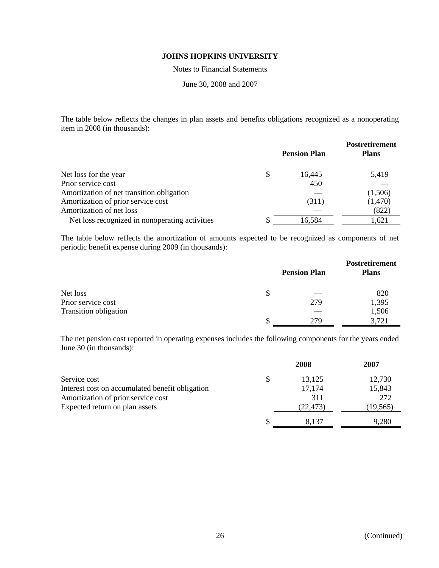Notes to Financial Statements

June 30, 2008 and 2007

The table below reflects the changes in plan assets and benefits obligations recognized as a nonoperating item in 2008 (in thousands):

|                                                |   |                     | <b>Postretirement</b> |
|------------------------------------------------|---|---------------------|-----------------------|
|                                                |   | <b>Pension Plan</b> | <b>Plans</b>          |
|                                                |   |                     |                       |
| Net loss for the year                          | S | 16.445              | 5,419                 |
| Prior service cost                             |   | 450                 |                       |
| Amortization of net transition obligation      |   |                     | (1,506)               |
| Amortization of prior service cost             |   | (311)               | (1,470)               |
| Amortization of net loss                       |   |                     | (822)                 |
| Net loss recognized in nonoperating activities |   | 16,584              | 1,621                 |

The table below reflects the amortization of amounts expected to be recognized as components of net periodic benefit expense during 2009 (in thousands):

|                       |                     | <b>Postretirement</b> |
|-----------------------|---------------------|-----------------------|
|                       | <b>Pension Plan</b> | <b>Plans</b>          |
| Net loss              | \$                  | 820                   |
| Prior service cost    | 279                 | 1,395                 |
| Transition obligation |                     | 1,506                 |
|                       | 279                 | 3,721                 |

The net pension cost reported in operating expenses includes the following components for the years ended June 30 (in thousands):

|                                                 |   | 2008      | 2007      |
|-------------------------------------------------|---|-----------|-----------|
| Service cost                                    | S | 13,125    | 12,730    |
| Interest cost on accumulated benefit obligation |   | 17,174    | 15,843    |
| Amortization of prior service cost              |   | 311       | 272       |
| Expected return on plan assets                  |   | (22, 473) | (19, 565) |
|                                                 |   | 8.137     | 9,280     |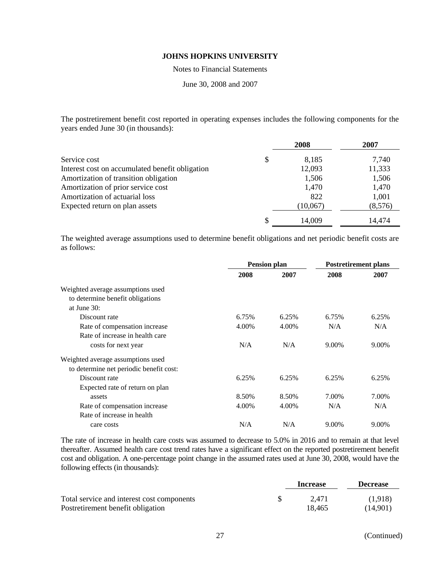Notes to Financial Statements

June 30, 2008 and 2007

The postretirement benefit cost reported in operating expenses includes the following components for the years ended June 30 (in thousands):

|                                                 |    | 2008     | 2007    |
|-------------------------------------------------|----|----------|---------|
| Service cost                                    | \$ | 8,185    | 7,740   |
| Interest cost on accumulated benefit obligation |    | 12,093   | 11,333  |
| Amortization of transition obligation           |    | 1,506    | 1,506   |
| Amortization of prior service cost              |    | 1,470    | 1,470   |
| Amortization of actuarial loss                  |    | 822      | 1,001   |
| Expected return on plan assets                  |    | (10,067) | (8,576) |
|                                                 | S  | 14,009   | 14,474  |

The weighted average assumptions used to determine benefit obligations and net periodic benefit costs are as follows:

|                                         | <b>Pension plan</b> |       | <b>Postretirement plans</b> |       |
|-----------------------------------------|---------------------|-------|-----------------------------|-------|
|                                         | 2008                | 2007  | 2008                        | 2007  |
| Weighted average assumptions used       |                     |       |                             |       |
| to determine benefit obligations        |                     |       |                             |       |
| at June $30:$                           |                     |       |                             |       |
| Discount rate                           | 6.75%               | 6.25% | 6.75%                       | 6.25% |
| Rate of compensation increase           | 4.00%               | 4.00% | N/A                         | N/A   |
| Rate of increase in health care         |                     |       |                             |       |
| costs for next year                     | N/A                 | N/A   | 9.00%                       | 9.00% |
| Weighted average assumptions used       |                     |       |                             |       |
| to determine net periodic benefit cost: |                     |       |                             |       |
| Discount rate                           | 6.25%               | 6.25% | 6.25%                       | 6.25% |
| Expected rate of return on plan         |                     |       |                             |       |
| assets                                  | 8.50%               | 8.50% | 7.00%                       | 7.00% |
| Rate of compensation increase           | 4.00%               | 4.00% | N/A                         | N/A   |
| Rate of increase in health              |                     |       |                             |       |
| care costs                              | N/A                 | N/A   | 9.00%                       | 9.00% |

The rate of increase in health care costs was assumed to decrease to 5.0% in 2016 and to remain at that level thereafter. Assumed health care cost trend rates have a significant effect on the reported postretirement benefit cost and obligation. A one-percentage point change in the assumed rates used at June 30, 2008, would have the following effects (in thousands):

|                                            | Increase |        | <b>Decrease</b> |  |
|--------------------------------------------|----------|--------|-----------------|--|
| Total service and interest cost components |          | 2.471  | (1,918)         |  |
| Postretirement benefit obligation          |          | 18.465 | (14.901)        |  |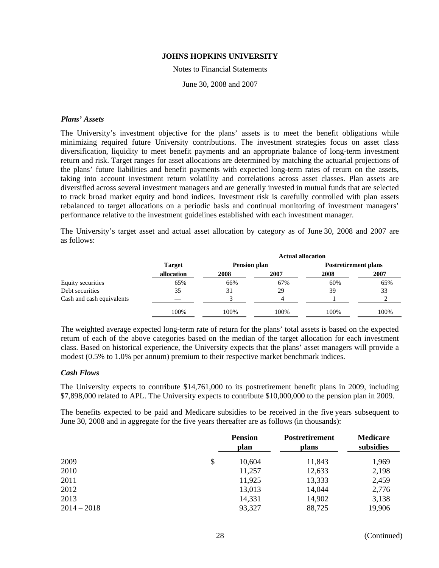#### Notes to Financial Statements

June 30, 2008 and 2007

# *Plans' Assets*

The University's investment objective for the plans' assets is to meet the benefit obligations while minimizing required future University contributions. The investment strategies focus on asset class diversification, liquidity to meet benefit payments and an appropriate balance of long-term investment return and risk. Target ranges for asset allocations are determined by matching the actuarial projections of the plans' future liabilities and benefit payments with expected long-term rates of return on the assets, taking into account investment return volatility and correlations across asset classes. Plan assets are diversified across several investment managers and are generally invested in mutual funds that are selected to track broad market equity and bond indices. Investment risk is carefully controlled with plan assets rebalanced to target allocations on a periodic basis and continual monitoring of investment managers' performance relative to the investment guidelines established with each investment manager.

The University's target asset and actual asset allocation by category as of June 30, 2008 and 2007 are as follows:

|                           |               | <b>Actual allocation</b> |      |                             |      |
|---------------------------|---------------|--------------------------|------|-----------------------------|------|
|                           | <b>Target</b> | <b>Pension plan</b>      |      | <b>Postretirement plans</b> |      |
|                           | allocation    | 2008                     | 2007 | 2008                        | 2007 |
| Equity securities         | 65%           | 66%                      | 67%  | 60%                         | 65%  |
| Debt securities           | 35            | 31                       | 29   | 39                          | 33   |
| Cash and cash equivalents |               |                          | 4    |                             |      |
|                           | 100%          | 100%                     | 100% | 100%                        | 100% |

The weighted average expected long-term rate of return for the plans' total assets is based on the expected return of each of the above categories based on the median of the target allocation for each investment class. Based on historical experience, the University expects that the plans' asset managers will provide a modest (0.5% to 1.0% per annum) premium to their respective market benchmark indices.

# *Cash Flows*

The University expects to contribute \$14,761,000 to its postretirement benefit plans in 2009, including \$7,898,000 related to APL. The University expects to contribute \$10,000,000 to the pension plan in 2009.

The benefits expected to be paid and Medicare subsidies to be received in the five years subsequent to June 30, 2008 and in aggregate for the five years thereafter are as follows (in thousands):

|               | <b>Pension</b><br>plan | <b>Postretirement</b><br>plans | <b>Medicare</b><br>subsidies |
|---------------|------------------------|--------------------------------|------------------------------|
| 2009          | \$<br>10,604           | 11,843                         | 1,969                        |
| 2010          | 11,257                 | 12,633                         | 2,198                        |
| 2011          | 11,925                 | 13,333                         | 2,459                        |
| 2012          | 13,013                 | 14,044                         | 2,776                        |
| 2013          | 14,331                 | 14,902                         | 3,138                        |
| $2014 - 2018$ | 93,327                 | 88,725                         | 19,906                       |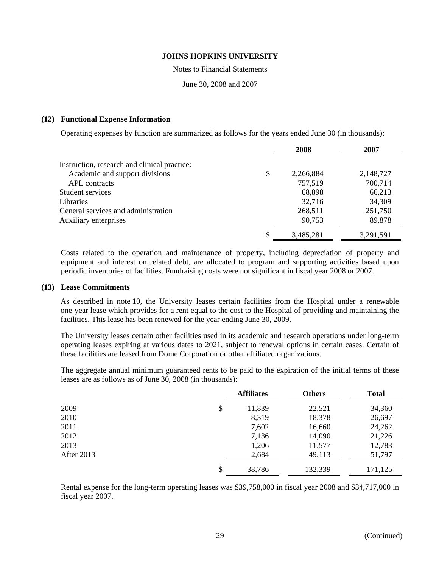Notes to Financial Statements

June 30, 2008 and 2007

# **(12) Functional Expense Information**

Operating expenses by function are summarized as follows for the years ended June 30 (in thousands):

|                                              | 2008            | 2007      |
|----------------------------------------------|-----------------|-----------|
| Instruction, research and clinical practice: |                 |           |
| Academic and support divisions               | \$<br>2,266,884 | 2,148,727 |
| <b>APL</b> contracts                         | 757,519         | 700,714   |
| Student services                             | 68,898          | 66,213    |
| <b>Libraries</b>                             | 32,716          | 34,309    |
| General services and administration          | 268,511         | 251,750   |
| Auxiliary enterprises                        | 90,753          | 89,878    |
|                                              | \$<br>3,485,281 | 3,291,591 |

Costs related to the operation and maintenance of property, including depreciation of property and equipment and interest on related debt, are allocated to program and supporting activities based upon periodic inventories of facilities. Fundraising costs were not significant in fiscal year 2008 or 2007.

# **(13) Lease Commitments**

As described in note 10, the University leases certain facilities from the Hospital under a renewable one-year lease which provides for a rent equal to the cost to the Hospital of providing and maintaining the facilities. This lease has been renewed for the year ending June 30, 2009.

The University leases certain other facilities used in its academic and research operations under long-term operating leases expiring at various dates to 2021, subject to renewal options in certain cases. Certain of these facilities are leased from Dome Corporation or other affiliated organizations.

The aggregate annual minimum guaranteed rents to be paid to the expiration of the initial terms of these leases are as follows as of June 30, 2008 (in thousands):

|            | <b>Affiliates</b> | <b>Others</b> | <b>Total</b> |
|------------|-------------------|---------------|--------------|
| 2009       | \$<br>11,839      | 22,521        | 34,360       |
| 2010       | 8,319             | 18,378        | 26,697       |
| 2011       | 7,602             | 16,660        | 24,262       |
| 2012       | 7,136             | 14,090        | 21,226       |
| 2013       | 1,206             | 11,577        | 12,783       |
| After 2013 | 2,684             | 49,113        | 51,797       |
|            | \$<br>38,786      | 132,339       | 171,125      |

Rental expense for the long-term operating leases was \$39,758,000 in fiscal year 2008 and \$34,717,000 in fiscal year 2007.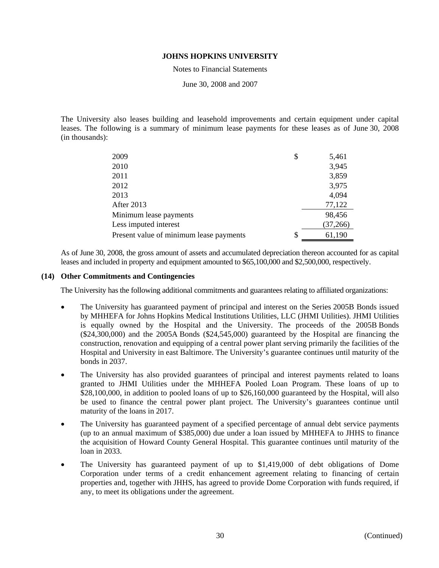Notes to Financial Statements

June 30, 2008 and 2007

The University also leases building and leasehold improvements and certain equipment under capital leases. The following is a summary of minimum lease payments for these leases as of June 30, 2008 (in thousands):

| 2009                                    | \$ | 5,461    |
|-----------------------------------------|----|----------|
| 2010                                    |    | 3,945    |
| 2011                                    |    | 3,859    |
| 2012                                    |    | 3,975    |
| 2013                                    |    | 4,094    |
| After 2013                              |    | 77,122   |
| Minimum lease payments                  |    | 98,456   |
| Less imputed interest                   |    | (37,266) |
| Present value of minimum lease payments | S  | 61,190   |

As of June 30, 2008, the gross amount of assets and accumulated depreciation thereon accounted for as capital leases and included in property and equipment amounted to \$65,100,000 and \$2,500,000, respectively.

# **(14) Other Commitments and Contingencies**

The University has the following additional commitments and guarantees relating to affiliated organizations:

- The University has guaranteed payment of principal and interest on the Series 2005B Bonds issued by MHHEFA for Johns Hopkins Medical Institutions Utilities, LLC (JHMI Utilities). JHMI Utilities is equally owned by the Hospital and the University. The proceeds of the 2005B Bonds (\$24,300,000) and the 2005A Bonds (\$24,545,000) guaranteed by the Hospital are financing the construction, renovation and equipping of a central power plant serving primarily the facilities of the Hospital and University in east Baltimore. The University's guarantee continues until maturity of the bonds in 2037.
- The University has also provided guarantees of principal and interest payments related to loans granted to JHMI Utilities under the MHHEFA Pooled Loan Program. These loans of up to \$28,100,000, in addition to pooled loans of up to \$26,160,000 guaranteed by the Hospital, will also be used to finance the central power plant project. The University's guarantees continue until maturity of the loans in 2017.
- The University has guaranteed payment of a specified percentage of annual debt service payments (up to an annual maximum of \$385,000) due under a loan issued by MHHEFA to JHHS to finance the acquisition of Howard County General Hospital. This guarantee continues until maturity of the loan in 2033.
- The University has guaranteed payment of up to \$1,419,000 of debt obligations of Dome Corporation under terms of a credit enhancement agreement relating to financing of certain properties and, together with JHHS, has agreed to provide Dome Corporation with funds required, if any, to meet its obligations under the agreement.